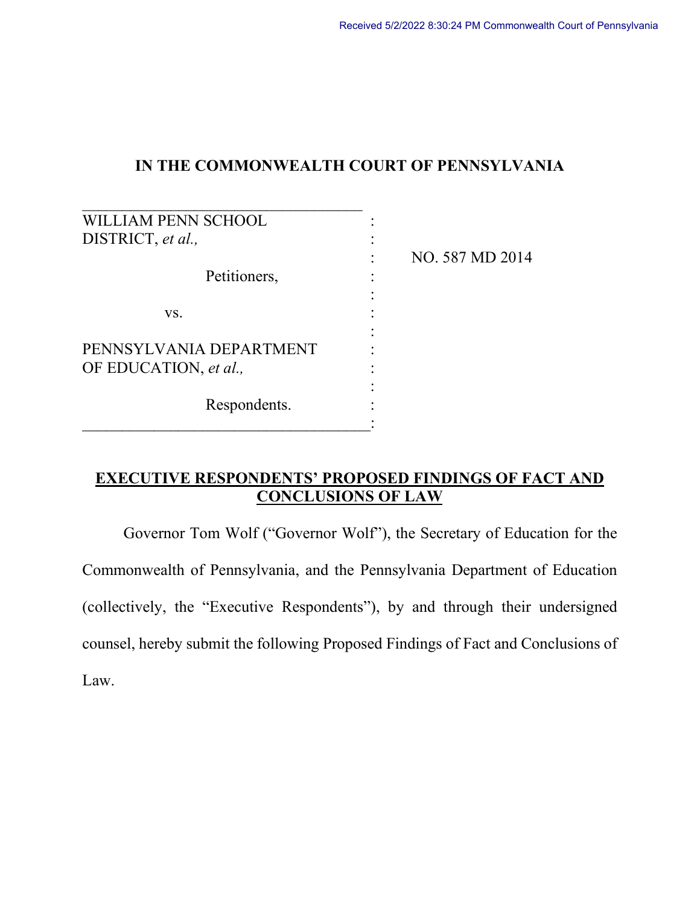# **IN THE COMMONWEALTH COURT OF PENNSYLVANIA**

| <b>LLIAM PENN SCHOOL</b> |                 |
|--------------------------|-----------------|
| DISTRICT, et al.,        |                 |
|                          | NO. 587 MD 2014 |
| Petitioners,             |                 |
|                          |                 |
| VS.                      |                 |
|                          |                 |
| PENNSYLVANIA DEPARTMENT  |                 |
| OF EDUCATION, et al.,    |                 |
|                          |                 |
| Respondents.             |                 |
|                          |                 |

# **EXECUTIVE RESPONDENTS' PROPOSED FINDINGS OF FACT AND CONCLUSIONS OF LAW**

Governor Tom Wolf ("Governor Wolf"), the Secretary of Education for the Commonwealth of Pennsylvania, and the Pennsylvania Department of Education (collectively, the "Executive Respondents"), by and through their undersigned counsel, hereby submit the following Proposed Findings of Fact and Conclusions of Law.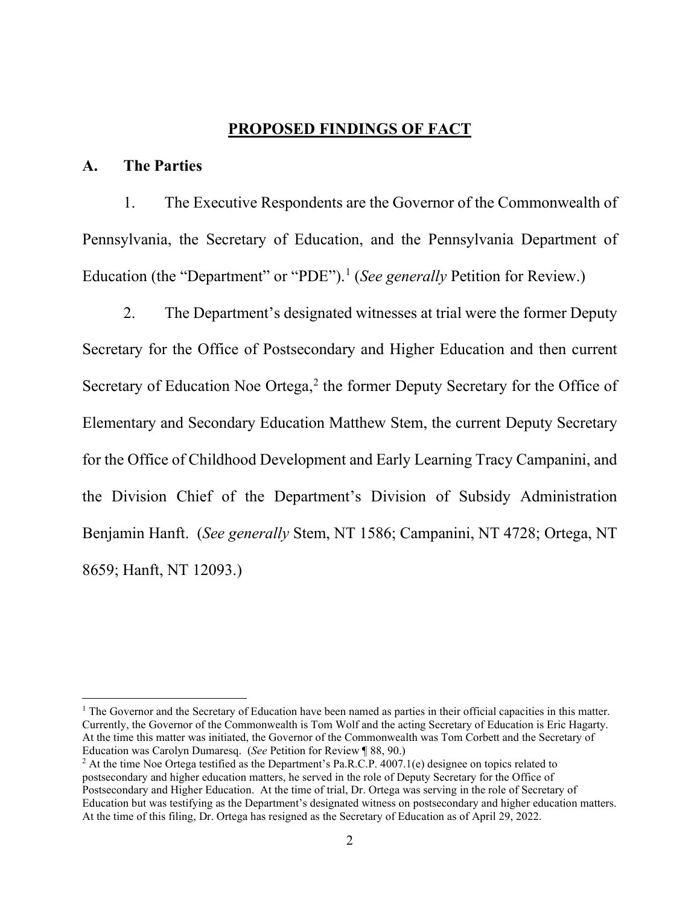## **PROPOSED FINDINGS OF FACT**

## **A. The Parties**

1. The Executive Respondents are the Governor of the Commonwealth of Pennsylvania, the Secretary of Education, and the Pennsylvania Department of Education (the "Department" or "PDE"). [1](#page-1-0) (*See generally* Petition for Review.)

2. The Department's designated witnesses at trial were the former Deputy Secretary for the Office of Postsecondary and Higher Education and then current Secretary of Education Noe Ortega,<sup>[2](#page-1-1)</sup> the former Deputy Secretary for the Office of Elementary and Secondary Education Matthew Stem, the current Deputy Secretary for the Office of Childhood Development and Early Learning Tracy Campanini, and the Division Chief of the Department's Division of Subsidy Administration Benjamin Hanft. (*See generally* Stem, NT 1586; Campanini, NT 4728; Ortega, NT 8659; Hanft, NT 12093.)

<span id="page-1-0"></span> $<sup>1</sup>$  The Governor and the Secretary of Education have been named as parties in their official capacities in this matter.</sup> Currently, the Governor of the Commonwealth is Tom Wolf and the acting Secretary of Education is Eric Hagarty. At the time this matter was initiated, the Governor of the Commonwealth was Tom Corbett and the Secretary of Education was Carolyn Dumaresq. (*See* Petition for Review ¶ 88, 90.)

<span id="page-1-1"></span><sup>&</sup>lt;sup>2</sup> At the time Noe Ortega testified as the Department's Pa.R.C.P. 4007.1(e) designee on topics related to postsecondary and higher education matters, he served in the role of Deputy Secretary for the Office of Postsecondary and Higher Education. At the time of trial, Dr. Ortega was serving in the role of Secretary of Education but was testifying as the Department's designated witness on postsecondary and higher education matters. At the time of this filing, Dr. Ortega has resigned as the Secretary of Education as of April 29, 2022.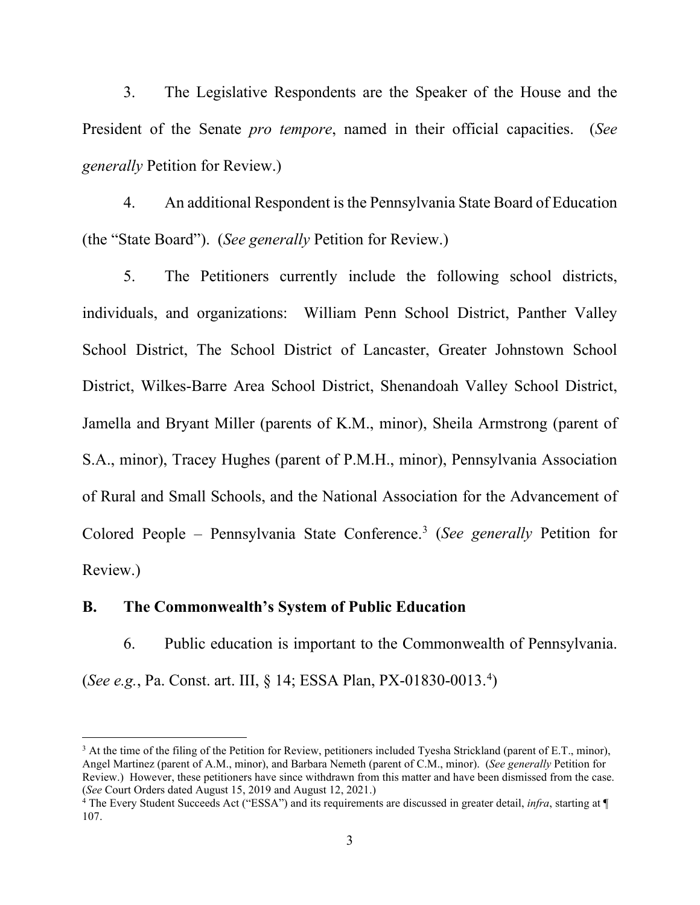3. The Legislative Respondents are the Speaker of the House and the President of the Senate *pro tempore*, named in their official capacities. (*See generally* Petition for Review.)

4. An additional Respondent is the Pennsylvania State Board of Education (the "State Board"). (*See generally* Petition for Review.)

5. The Petitioners currently include the following school districts, individuals, and organizations: William Penn School District, Panther Valley School District, The School District of Lancaster, Greater Johnstown School District, Wilkes-Barre Area School District, Shenandoah Valley School District, Jamella and Bryant Miller (parents of K.M., minor), Sheila Armstrong (parent of S.A., minor), Tracey Hughes (parent of P.M.H., minor), Pennsylvania Association of Rural and Small Schools, and the National Association for the Advancement of Colored People – Pennsylvania State Conference. [3](#page-2-0) (*See generally* Petition for Review.)

## **B. The Commonwealth's System of Public Education**

6. Public education is important to the Commonwealth of Pennsylvania. (*See e.g.*, Pa. Const. art. III, § 14; ESSA Plan, PX-01830-0013.[4](#page-2-1) )

<span id="page-2-0"></span> $3$  At the time of the filing of the Petition for Review, petitioners included Tyesha Strickland (parent of E.T., minor), Angel Martinez (parent of A.M., minor), and Barbara Nemeth (parent of C.M., minor). (*See generally* Petition for Review.) However, these petitioners have since withdrawn from this matter and have been dismissed from the case. (*See* Court Orders dated August 15, 2019 and August 12, 2021.)

<span id="page-2-1"></span><sup>4</sup> The Every Student Succeeds Act ("ESSA") and its requirements are discussed in greater detail, *infra*, starting at ¶ 107.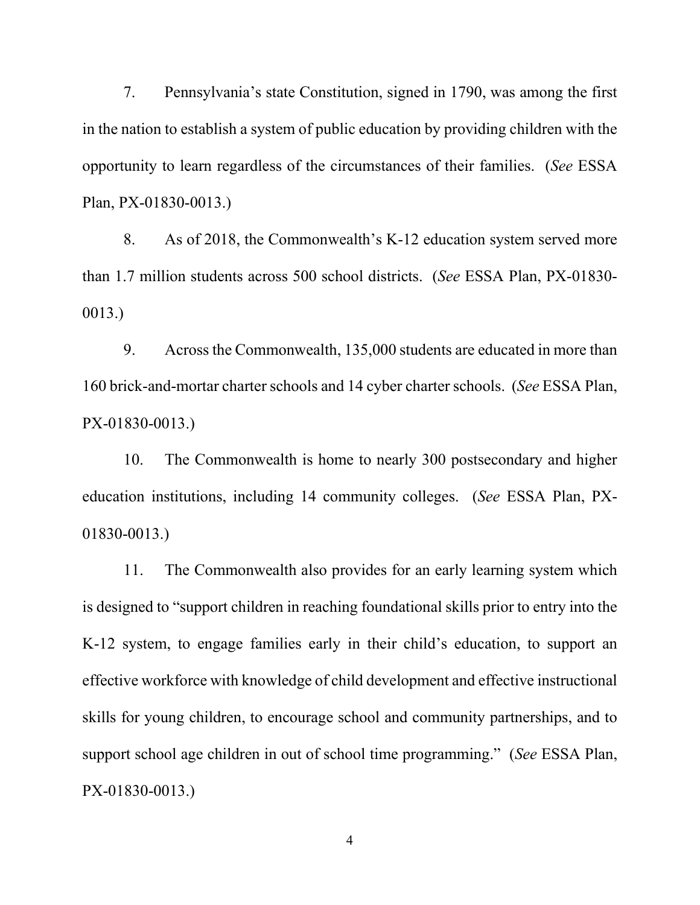7. Pennsylvania's state Constitution, signed in 1790, was among the first in the nation to establish a system of public education by providing children with the opportunity to learn regardless of the circumstances of their families. (*See* ESSA Plan, PX-01830-0013.)

8. As of 2018, the Commonwealth's K-12 education system served more than 1.7 million students across 500 school districts. (*See* ESSA Plan, PX-01830- 0013.)

9. Across the Commonwealth, 135,000 students are educated in more than 160 brick-and-mortar charter schools and 14 cyber charter schools. (*See* ESSA Plan, PX-01830-0013.)

10. The Commonwealth is home to nearly 300 postsecondary and higher education institutions, including 14 community colleges. (*See* ESSA Plan, PX-01830-0013.)

11. The Commonwealth also provides for an early learning system which is designed to "support children in reaching foundational skills prior to entry into the K-12 system, to engage families early in their child's education, to support an effective workforce with knowledge of child development and effective instructional skills for young children, to encourage school and community partnerships, and to support school age children in out of school time programming." (*See* ESSA Plan, PX-01830-0013.)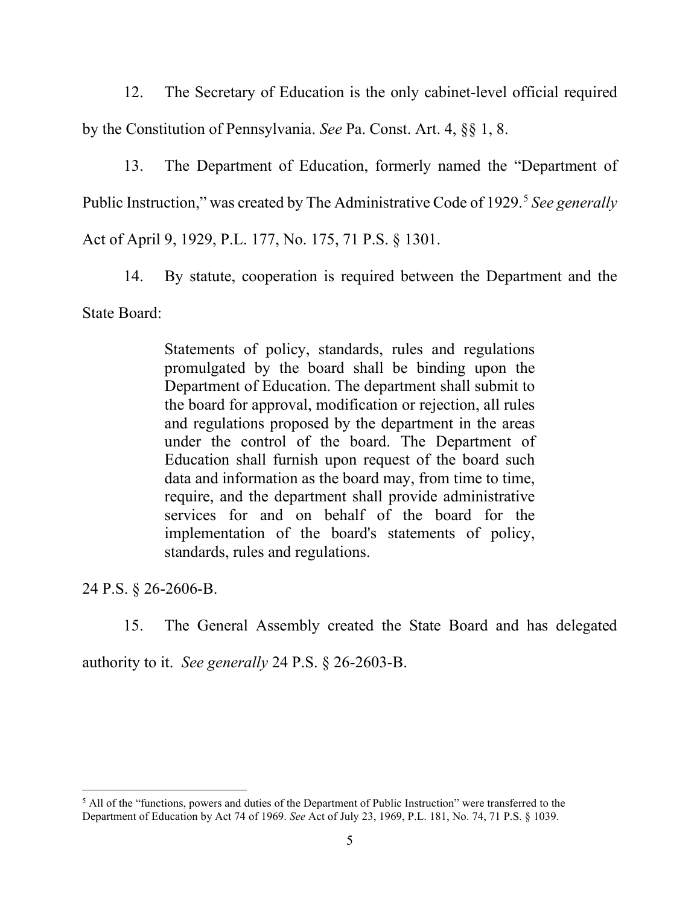12. The Secretary of Education is the only cabinet-level official required by the Constitution of Pennsylvania. *See* Pa. Const. Art. 4, §§ 1, 8.

13. The Department of Education, formerly named the "Department of Public Instruction," was created by The Administrative Code of 1929.<sup>[5](#page-4-0)</sup> *See generally* Act of April 9, 1929, P.L. 177, No. 175, 71 P.S. § 1301.

14. By statute, cooperation is required between the Department and the State Board:

> Statements of policy, standards, rules and regulations promulgated by the board shall be binding upon the Department of Education. The department shall submit to the board for approval, modification or rejection, all rules and regulations proposed by the department in the areas under the control of the board. The Department of Education shall furnish upon request of the board such data and information as the board may, from time to time, require, and the department shall provide administrative services for and on behalf of the board for the implementation of the board's statements of policy, standards, rules and regulations.

24 P.S. § 26-2606-B.

15. The General Assembly created the State Board and has delegated

authority to it. *See generally* 24 P.S. § 26-2603-B.

<span id="page-4-0"></span><sup>&</sup>lt;sup>5</sup> All of the "functions, powers and duties of the Department of Public Instruction" were transferred to the Department of Education by Act 74 of 1969. *See* Act of July 23, 1969, P.L. 181, No. 74, 71 P.S. § 1039.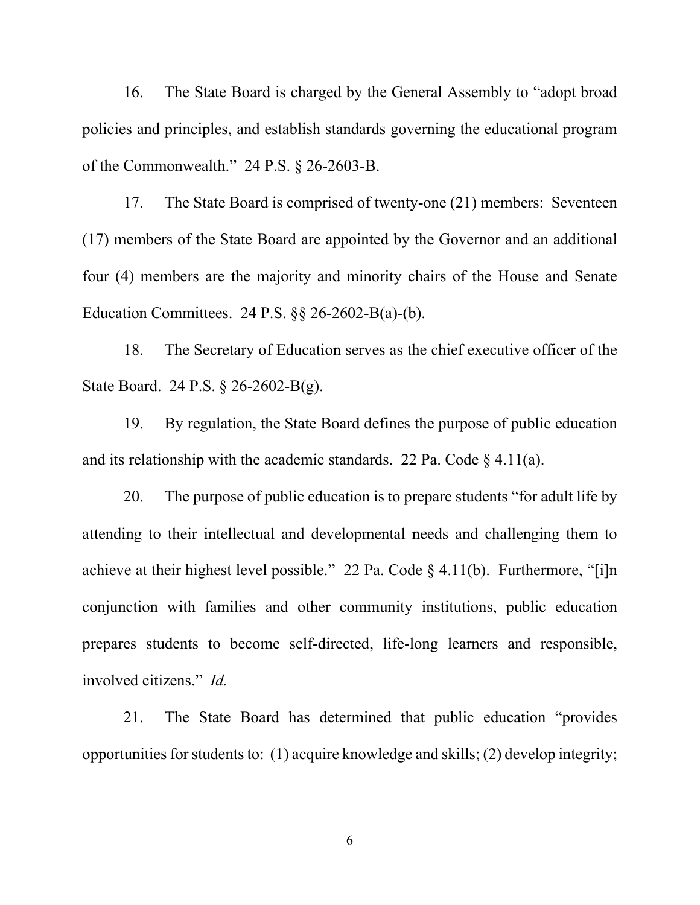16. The State Board is charged by the General Assembly to "adopt broad policies and principles, and establish standards governing the educational program of the Commonwealth." 24 P.S. § 26-2603-B.

17. The State Board is comprised of twenty-one (21) members: Seventeen (17) members of the State Board are appointed by the Governor and an additional four (4) members are the majority and minority chairs of the House and Senate Education Committees. 24 P.S. §§ 26-2602-B(a)-(b).

18. The Secretary of Education serves as the chief executive officer of the State Board. 24 P.S. § 26-2602-B(g).

19. By regulation, the State Board defines the purpose of public education and its relationship with the academic standards. 22 Pa. Code  $\S$  4.11(a).

20. The purpose of public education is to prepare students "for adult life by attending to their intellectual and developmental needs and challenging them to achieve at their highest level possible." 22 Pa. Code  $\S$  4.11(b). Furthermore, "[i]n conjunction with families and other community institutions, public education prepares students to become self-directed, life-long learners and responsible, involved citizens." *Id.*

21. The State Board has determined that public education "provides opportunities for students to: (1) acquire knowledge and skills; (2) develop integrity;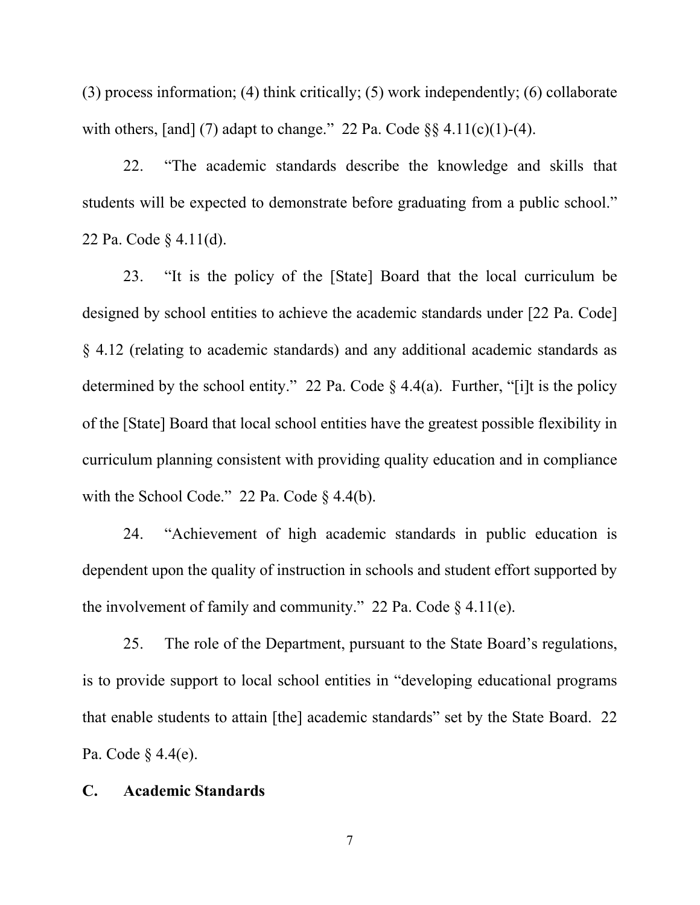(3) process information; (4) think critically; (5) work independently; (6) collaborate with others, [and] (7) adapt to change." 22 Pa. Code  $\S$ § 4.11(c)(1)-(4).

22. "The academic standards describe the knowledge and skills that students will be expected to demonstrate before graduating from a public school." 22 Pa. Code § 4.11(d).

23. "It is the policy of the [State] Board that the local curriculum be designed by school entities to achieve the academic standards under [22 Pa. Code] § 4.12 (relating to academic standards) and any additional academic standards as determined by the school entity." 22 Pa. Code  $\S$  4.4(a). Further, "[i]t is the policy of the [State] Board that local school entities have the greatest possible flexibility in curriculum planning consistent with providing quality education and in compliance with the School Code." 22 Pa. Code § 4.4(b).

24. "Achievement of high academic standards in public education is dependent upon the quality of instruction in schools and student effort supported by the involvement of family and community." 22 Pa. Code  $\S$  4.11(e).

25. The role of the Department, pursuant to the State Board's regulations, is to provide support to local school entities in "developing educational programs that enable students to attain [the] academic standards" set by the State Board. 22 Pa. Code § 4.4(e).

## **C. Academic Standards**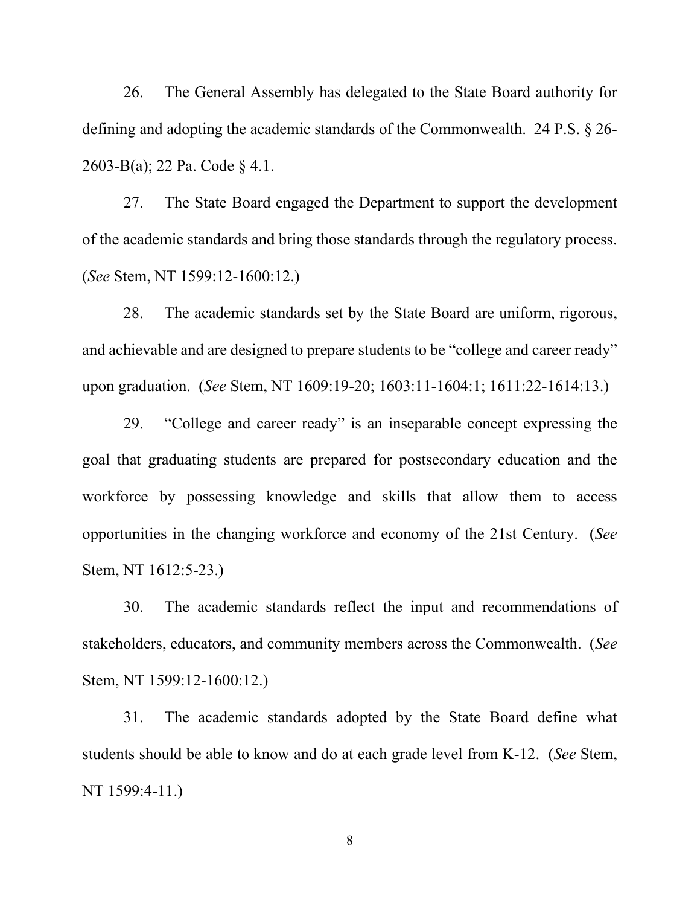26. The General Assembly has delegated to the State Board authority for defining and adopting the academic standards of the Commonwealth. 24 P.S. § 26- 2603-B(a); 22 Pa. Code § 4.1.

27. The State Board engaged the Department to support the development of the academic standards and bring those standards through the regulatory process. (*See* Stem, NT 1599:12-1600:12.)

28. The academic standards set by the State Board are uniform, rigorous, and achievable and are designed to prepare students to be "college and career ready" upon graduation. (*See* Stem, NT 1609:19-20; 1603:11-1604:1; 1611:22-1614:13.)

29. "College and career ready" is an inseparable concept expressing the goal that graduating students are prepared for postsecondary education and the workforce by possessing knowledge and skills that allow them to access opportunities in the changing workforce and economy of the 21st Century. (*See* Stem, NT 1612:5-23.)

30. The academic standards reflect the input and recommendations of stakeholders, educators, and community members across the Commonwealth. (*See* Stem, NT 1599:12-1600:12.)

31. The academic standards adopted by the State Board define what students should be able to know and do at each grade level from K-12. (*See* Stem, NT 1599:4-11.)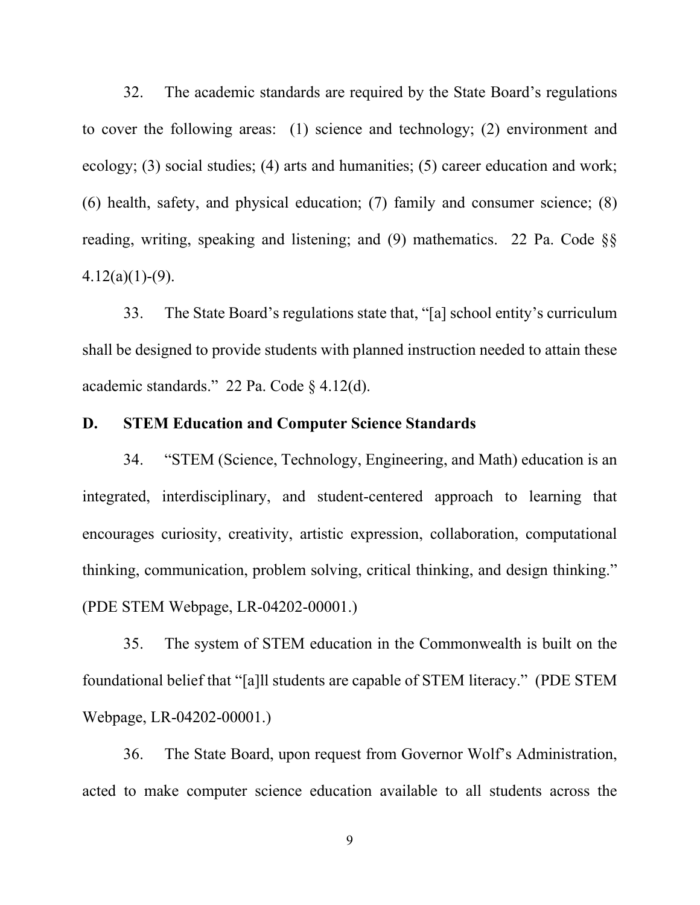32. The academic standards are required by the State Board's regulations to cover the following areas: (1) science and technology; (2) environment and ecology; (3) social studies; (4) arts and humanities; (5) career education and work; (6) health, safety, and physical education; (7) family and consumer science; (8) reading, writing, speaking and listening; and (9) mathematics. 22 Pa. Code §§  $4.12(a)(1)-(9)$ .

33. The State Board's regulations state that, "[a] school entity's curriculum shall be designed to provide students with planned instruction needed to attain these academic standards." 22 Pa. Code § 4.12(d).

# **D. STEM Education and Computer Science Standards**

34. "STEM (Science, Technology, Engineering, and Math) education is an integrated, interdisciplinary, and student-centered approach to learning that encourages curiosity, creativity, artistic expression, collaboration, computational thinking, communication, problem solving, critical thinking, and design thinking." (PDE STEM Webpage, LR-04202-00001.)

35. The system of STEM education in the Commonwealth is built on the foundational belief that "[a]ll students are capable of STEM literacy." (PDE STEM Webpage, LR-04202-00001.)

36. The State Board, upon request from Governor Wolf's Administration, acted to make computer science education available to all students across the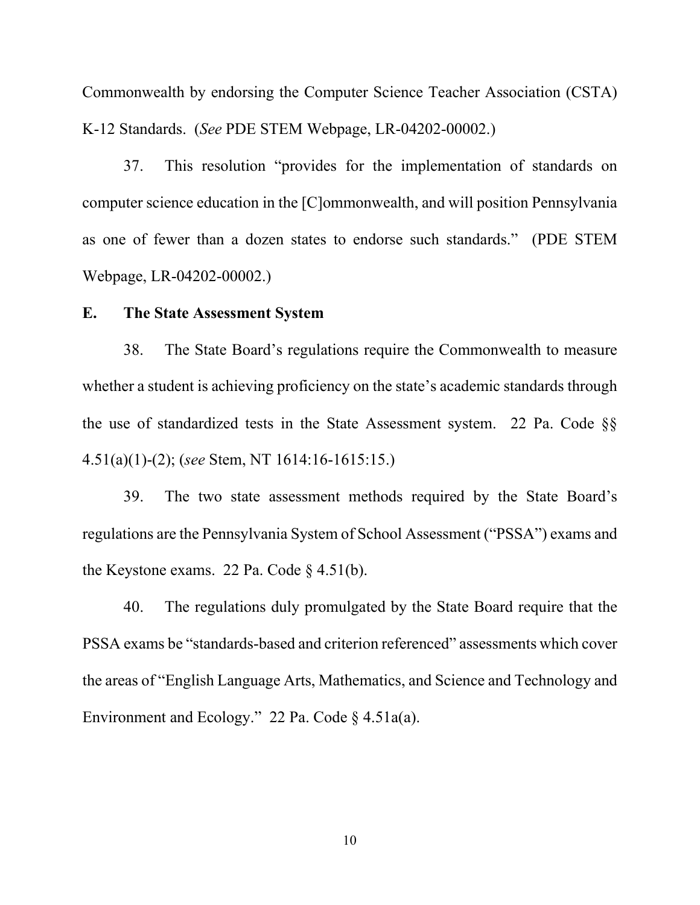Commonwealth by endorsing the Computer Science Teacher Association (CSTA) K-12 Standards. (*See* PDE STEM Webpage, LR-04202-00002.)

37. This resolution "provides for the implementation of standards on computer science education in the [C]ommonwealth, and will position Pennsylvania as one of fewer than a dozen states to endorse such standards." (PDE STEM Webpage, LR-04202-00002.)

#### **E. The State Assessment System**

38. The State Board's regulations require the Commonwealth to measure whether a student is achieving proficiency on the state's academic standards through the use of standardized tests in the State Assessment system. 22 Pa. Code §§ 4.51(a)(1)-(2); (*see* Stem, NT 1614:16-1615:15.)

39. The two state assessment methods required by the State Board's regulations are the Pennsylvania System of School Assessment ("PSSA") exams and the Keystone exams. 22 Pa. Code § 4.51(b).

40. The regulations duly promulgated by the State Board require that the PSSA exams be "standards-based and criterion referenced" assessments which cover the areas of "English Language Arts, Mathematics, and Science and Technology and Environment and Ecology." 22 Pa. Code § 4.51a(a).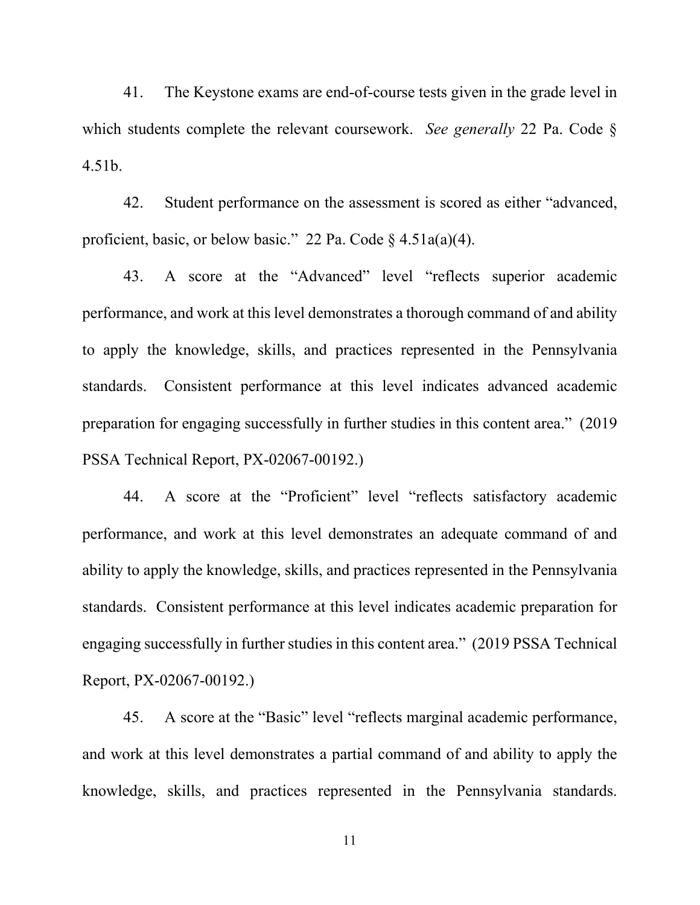41. The Keystone exams are end-of-course tests given in the grade level in which students complete the relevant coursework. *See generally* 22 Pa. Code § 4.51b.

42. Student performance on the assessment is scored as either "advanced, proficient, basic, or below basic." 22 Pa. Code § 4.51a(a)(4).

43. A score at the "Advanced" level "reflects superior academic performance, and work at this level demonstrates a thorough command of and ability to apply the knowledge, skills, and practices represented in the Pennsylvania standards. Consistent performance at this level indicates advanced academic preparation for engaging successfully in further studies in this content area." (2019 PSSA Technical Report, PX-02067-00192.)

44. A score at the "Proficient" level "reflects satisfactory academic performance, and work at this level demonstrates an adequate command of and ability to apply the knowledge, skills, and practices represented in the Pennsylvania standards. Consistent performance at this level indicates academic preparation for engaging successfully in further studies in this content area." (2019 PSSA Technical Report, PX-02067-00192.)

45. A score at the "Basic" level "reflects marginal academic performance, and work at this level demonstrates a partial command of and ability to apply the knowledge, skills, and practices represented in the Pennsylvania standards.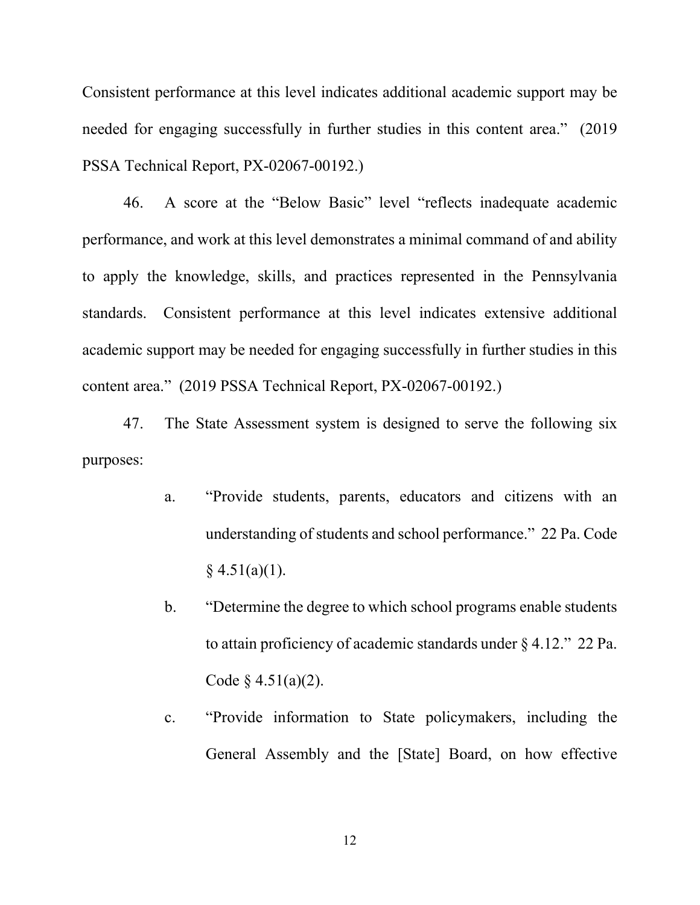Consistent performance at this level indicates additional academic support may be needed for engaging successfully in further studies in this content area." (2019 PSSA Technical Report, PX-02067-00192.)

46. A score at the "Below Basic" level "reflects inadequate academic performance, and work at this level demonstrates a minimal command of and ability to apply the knowledge, skills, and practices represented in the Pennsylvania standards. Consistent performance at this level indicates extensive additional academic support may be needed for engaging successfully in further studies in this content area." (2019 PSSA Technical Report, PX-02067-00192.)

47. The State Assessment system is designed to serve the following six purposes:

- a. "Provide students, parents, educators and citizens with an understanding of students and school performance." 22 Pa. Code  $§$  4.51(a)(1).
- b. "Determine the degree to which school programs enable students to attain proficiency of academic standards under § 4.12." 22 Pa. Code  $\{4.51(a)(2)\}.$
- c. "Provide information to State policymakers, including the General Assembly and the [State] Board, on how effective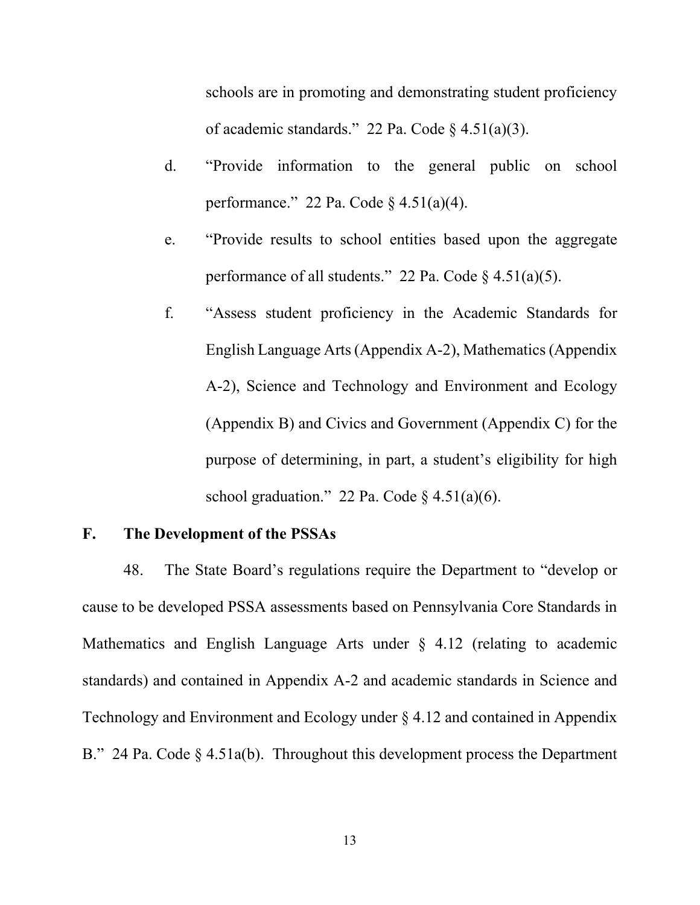schools are in promoting and demonstrating student proficiency of academic standards." 22 Pa. Code  $\S$  4.51(a)(3).

- d. "Provide information to the general public on school performance." 22 Pa. Code  $\frac{1}{2}$  4.51(a)(4).
- e. "Provide results to school entities based upon the aggregate performance of all students." 22 Pa. Code  $\S$  4.51(a)(5).
- f. "Assess student proficiency in the Academic Standards for English Language Arts (Appendix A-2), Mathematics (Appendix A-2), Science and Technology and Environment and Ecology (Appendix B) and Civics and Government (Appendix C) for the purpose of determining, in part, a student's eligibility for high school graduation." 22 Pa. Code  $§$  4.51(a)(6).

## **F. The Development of the PSSAs**

48. The State Board's regulations require the Department to "develop or cause to be developed PSSA assessments based on Pennsylvania Core Standards in Mathematics and English Language Arts under § 4.12 (relating to academic standards) and contained in Appendix A-2 and academic standards in Science and Technology and Environment and Ecology under § 4.12 and contained in Appendix B." 24 Pa. Code § 4.51a(b). Throughout this development process the Department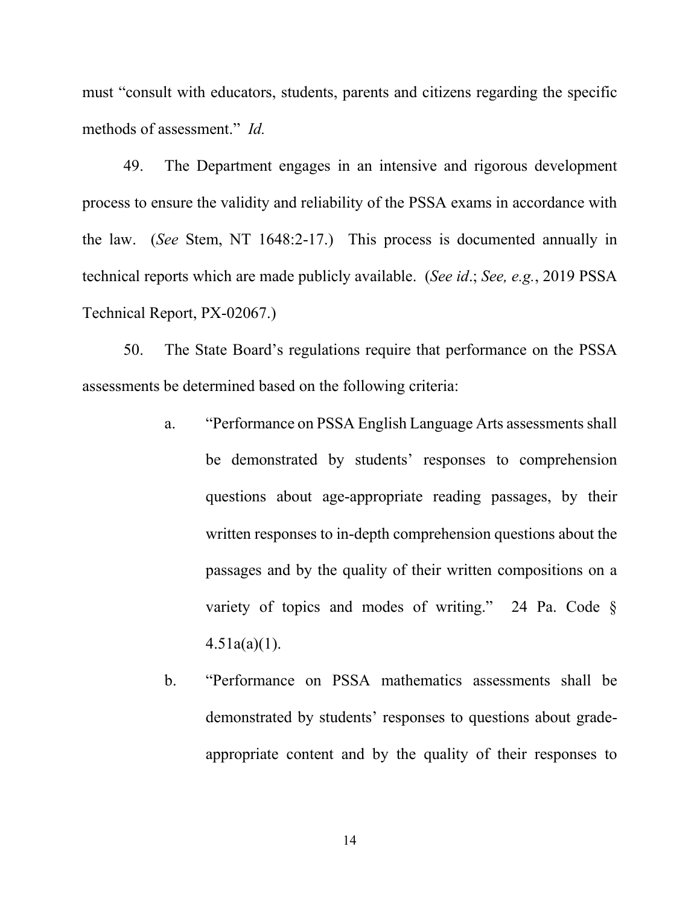must "consult with educators, students, parents and citizens regarding the specific methods of assessment." *Id.*

49. The Department engages in an intensive and rigorous development process to ensure the validity and reliability of the PSSA exams in accordance with the law. (*See* Stem, NT 1648:2-17.) This process is documented annually in technical reports which are made publicly available. (*See id*.; *See, e.g.*, 2019 PSSA Technical Report, PX-02067.)

50. The State Board's regulations require that performance on the PSSA assessments be determined based on the following criteria:

- a. "Performance on PSSA English Language Arts assessments shall be demonstrated by students' responses to comprehension questions about age-appropriate reading passages, by their written responses to in-depth comprehension questions about the passages and by the quality of their written compositions on a variety of topics and modes of writing." 24 Pa. Code §  $4.51a(a)(1)$ .
- b. "Performance on PSSA mathematics assessments shall be demonstrated by students' responses to questions about gradeappropriate content and by the quality of their responses to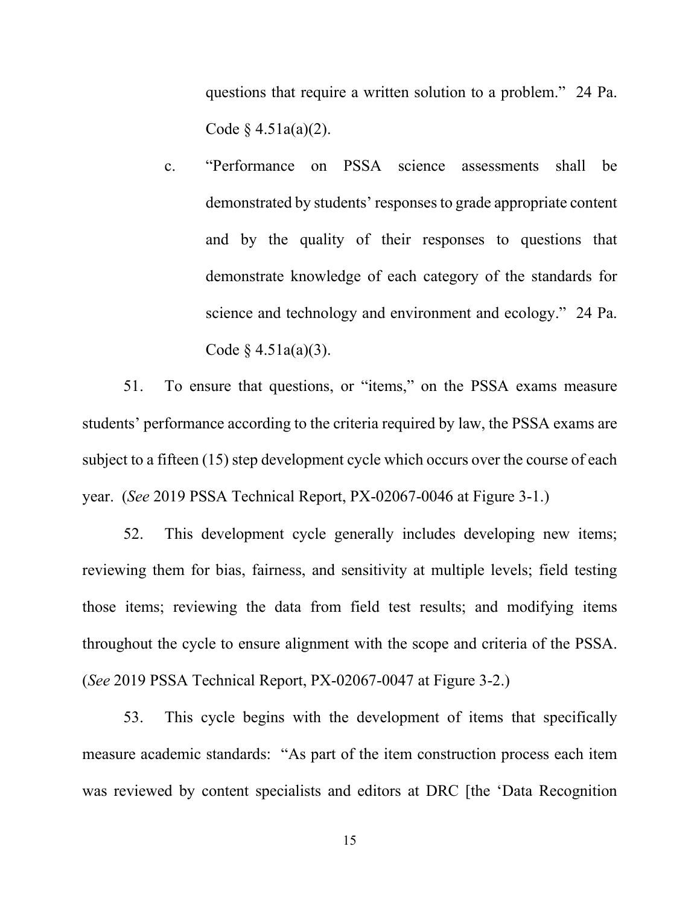questions that require a written solution to a problem." 24 Pa. Code  $§$  4.51a(a)(2).

c. "Performance on PSSA science assessments shall be demonstrated by students' responses to grade appropriate content and by the quality of their responses to questions that demonstrate knowledge of each category of the standards for science and technology and environment and ecology." 24 Pa. Code  $§$  4.51a(a)(3).

51. To ensure that questions, or "items," on the PSSA exams measure students' performance according to the criteria required by law, the PSSA exams are subject to a fifteen (15) step development cycle which occurs over the course of each year. (*See* 2019 PSSA Technical Report, PX-02067-0046 at Figure 3-1.)

52. This development cycle generally includes developing new items; reviewing them for bias, fairness, and sensitivity at multiple levels; field testing those items; reviewing the data from field test results; and modifying items throughout the cycle to ensure alignment with the scope and criteria of the PSSA. (*See* 2019 PSSA Technical Report, PX-02067-0047 at Figure 3-2.)

53. This cycle begins with the development of items that specifically measure academic standards: "As part of the item construction process each item was reviewed by content specialists and editors at DRC [the 'Data Recognition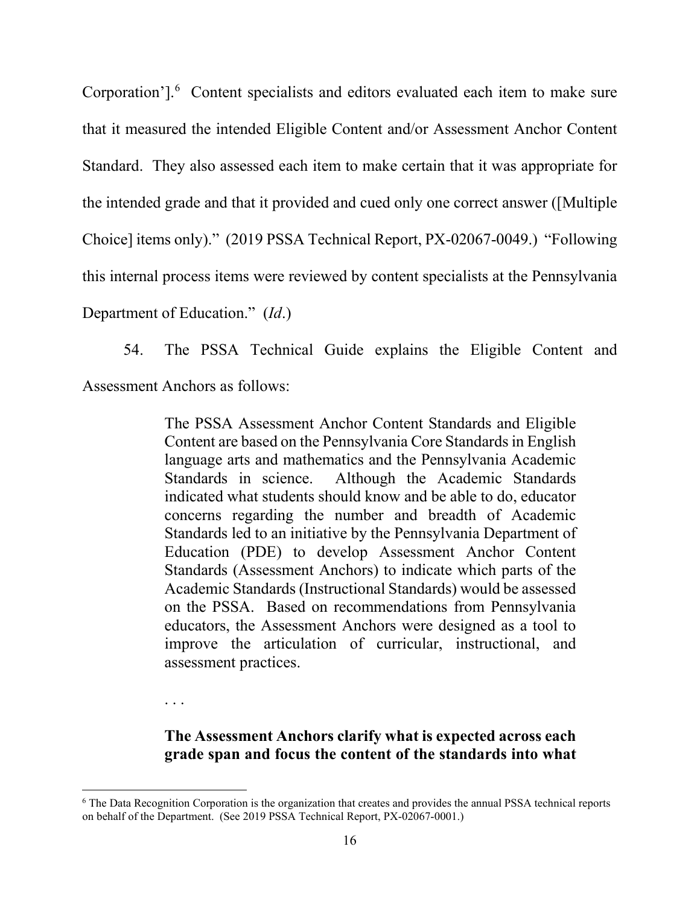Corporation'].<sup>[6](#page-15-0)</sup> Content specialists and editors evaluated each item to make sure that it measured the intended Eligible Content and/or Assessment Anchor Content Standard. They also assessed each item to make certain that it was appropriate for the intended grade and that it provided and cued only one correct answer ([Multiple Choice] items only)." (2019 PSSA Technical Report, PX-02067-0049.) "Following this internal process items were reviewed by content specialists at the Pennsylvania Department of Education." (*Id*.)

54. The PSSA Technical Guide explains the Eligible Content and Assessment Anchors as follows:

> The PSSA Assessment Anchor Content Standards and Eligible Content are based on the Pennsylvania Core Standards in English language arts and mathematics and the Pennsylvania Academic Standards in science. Although the Academic Standards indicated what students should know and be able to do, educator concerns regarding the number and breadth of Academic Standards led to an initiative by the Pennsylvania Department of Education (PDE) to develop Assessment Anchor Content Standards (Assessment Anchors) to indicate which parts of the Academic Standards (Instructional Standards) would be assessed on the PSSA. Based on recommendations from Pennsylvania educators, the Assessment Anchors were designed as a tool to improve the articulation of curricular, instructional, and assessment practices.

. . .

**The Assessment Anchors clarify what is expected across each grade span and focus the content of the standards into what** 

<span id="page-15-0"></span><sup>&</sup>lt;sup>6</sup> The Data Recognition Corporation is the organization that creates and provides the annual PSSA technical reports on behalf of the Department. (See 2019 PSSA Technical Report, PX-02067-0001.)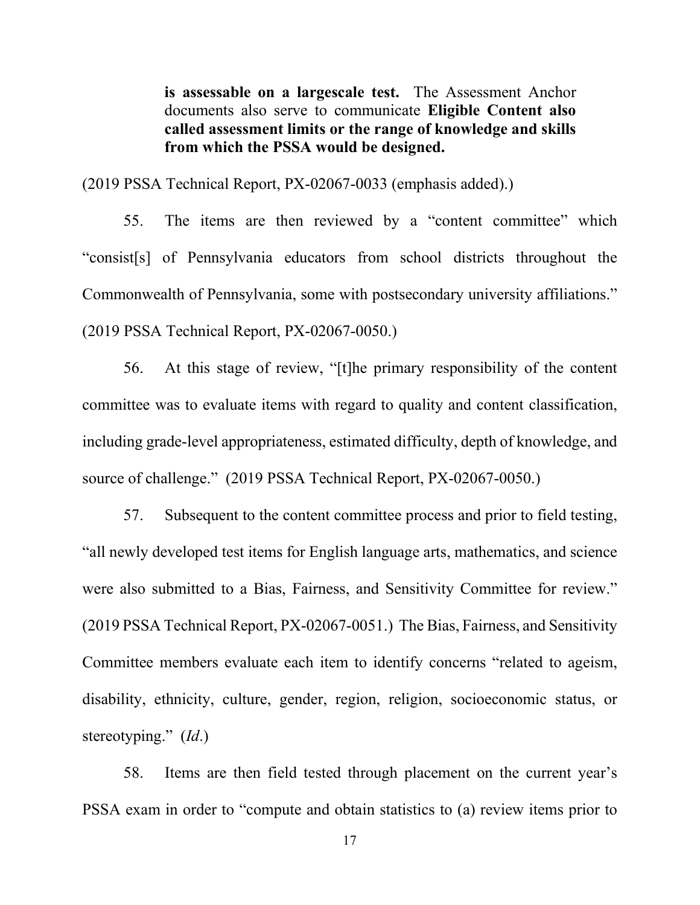**is assessable on a largescale test.** The Assessment Anchor documents also serve to communicate **Eligible Content also called assessment limits or the range of knowledge and skills from which the PSSA would be designed.**

(2019 PSSA Technical Report, PX-02067-0033 (emphasis added).)

55. The items are then reviewed by a "content committee" which "consist[s] of Pennsylvania educators from school districts throughout the Commonwealth of Pennsylvania, some with postsecondary university affiliations." (2019 PSSA Technical Report, PX-02067-0050.)

56. At this stage of review, "[t]he primary responsibility of the content committee was to evaluate items with regard to quality and content classification, including grade-level appropriateness, estimated difficulty, depth of knowledge, and source of challenge." (2019 PSSA Technical Report, PX-02067-0050.)

57. Subsequent to the content committee process and prior to field testing, "all newly developed test items for English language arts, mathematics, and science were also submitted to a Bias, Fairness, and Sensitivity Committee for review." (2019 PSSA Technical Report, PX-02067-0051.) The Bias, Fairness, and Sensitivity Committee members evaluate each item to identify concerns "related to ageism, disability, ethnicity, culture, gender, region, religion, socioeconomic status, or stereotyping." (*Id*.)

58. Items are then field tested through placement on the current year's PSSA exam in order to "compute and obtain statistics to (a) review items prior to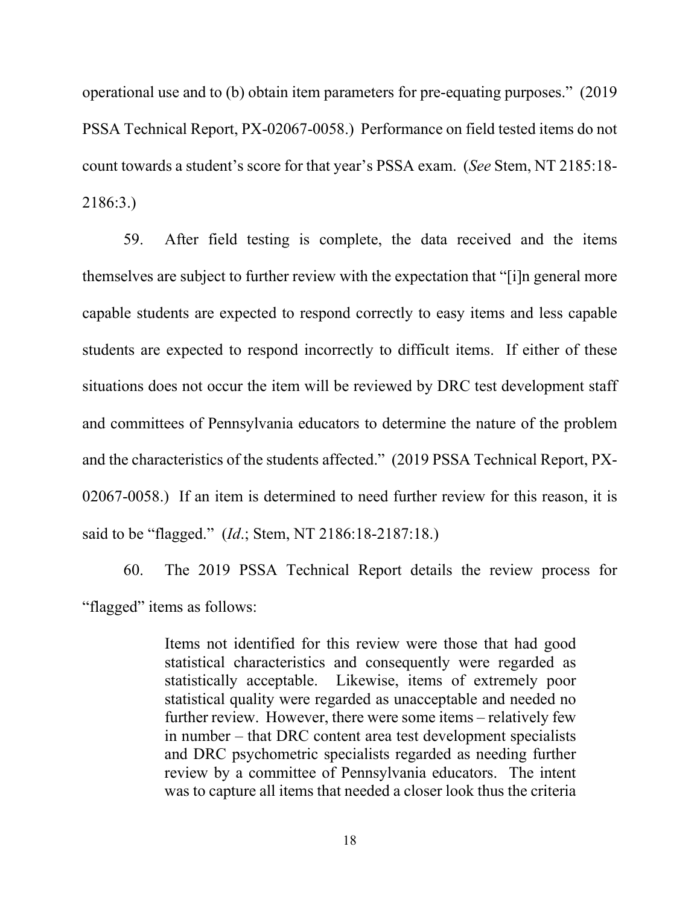operational use and to (b) obtain item parameters for pre-equating purposes." (2019 PSSA Technical Report, PX-02067-0058.) Performance on field tested items do not count towards a student's score for that year's PSSA exam. (*See* Stem, NT 2185:18- 2186:3.)

59. After field testing is complete, the data received and the items themselves are subject to further review with the expectation that "[i]n general more capable students are expected to respond correctly to easy items and less capable students are expected to respond incorrectly to difficult items. If either of these situations does not occur the item will be reviewed by DRC test development staff and committees of Pennsylvania educators to determine the nature of the problem and the characteristics of the students affected." (2019 PSSA Technical Report, PX-02067-0058.) If an item is determined to need further review for this reason, it is said to be "flagged." (*Id*.; Stem, NT 2186:18-2187:18.)

60. The 2019 PSSA Technical Report details the review process for "flagged" items as follows:

> Items not identified for this review were those that had good statistical characteristics and consequently were regarded as statistically acceptable. Likewise, items of extremely poor statistical quality were regarded as unacceptable and needed no further review. However, there were some items – relatively few in number – that DRC content area test development specialists and DRC psychometric specialists regarded as needing further review by a committee of Pennsylvania educators. The intent was to capture all items that needed a closer look thus the criteria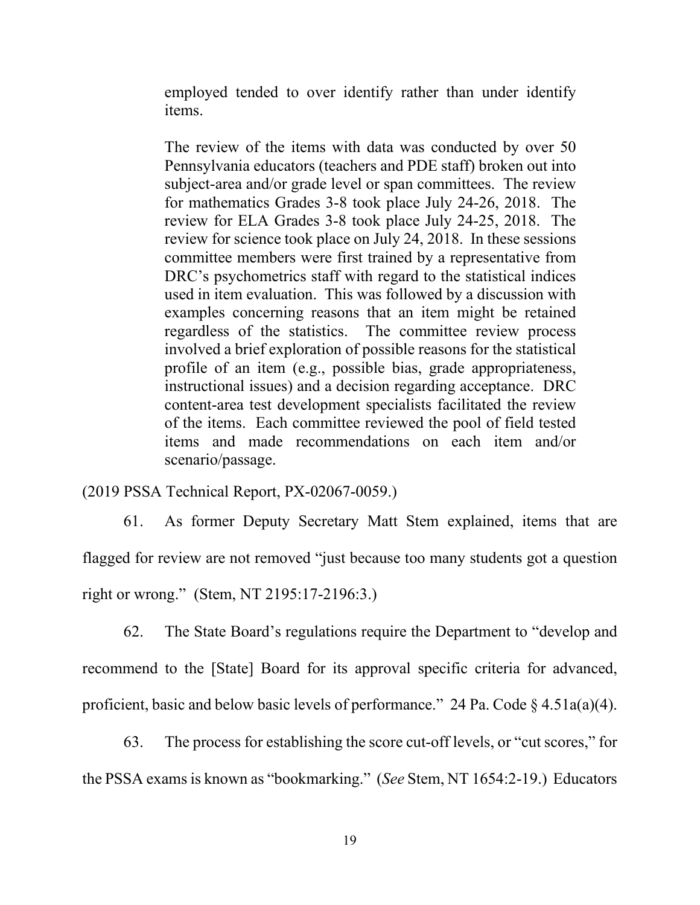employed tended to over identify rather than under identify items.

The review of the items with data was conducted by over 50 Pennsylvania educators (teachers and PDE staff) broken out into subject-area and/or grade level or span committees. The review for mathematics Grades 3-8 took place July 24-26, 2018. The review for ELA Grades 3-8 took place July 24-25, 2018. The review for science took place on July 24, 2018. In these sessions committee members were first trained by a representative from DRC's psychometrics staff with regard to the statistical indices used in item evaluation. This was followed by a discussion with examples concerning reasons that an item might be retained regardless of the statistics. The committee review process involved a brief exploration of possible reasons for the statistical profile of an item (e.g., possible bias, grade appropriateness, instructional issues) and a decision regarding acceptance. DRC content-area test development specialists facilitated the review of the items. Each committee reviewed the pool of field tested items and made recommendations on each item and/or scenario/passage.

(2019 PSSA Technical Report, PX-02067-0059.)

61. As former Deputy Secretary Matt Stem explained, items that are flagged for review are not removed "just because too many students got a question right or wrong." (Stem, NT 2195:17-2196:3.)

62. The State Board's regulations require the Department to "develop and recommend to the [State] Board for its approval specific criteria for advanced, proficient, basic and below basic levels of performance." 24 Pa. Code  $\S$  4.51a(a)(4).

63. The process for establishing the score cut-off levels, or "cut scores," for

the PSSA exams is known as "bookmarking." (*See* Stem, NT 1654:2-19.) Educators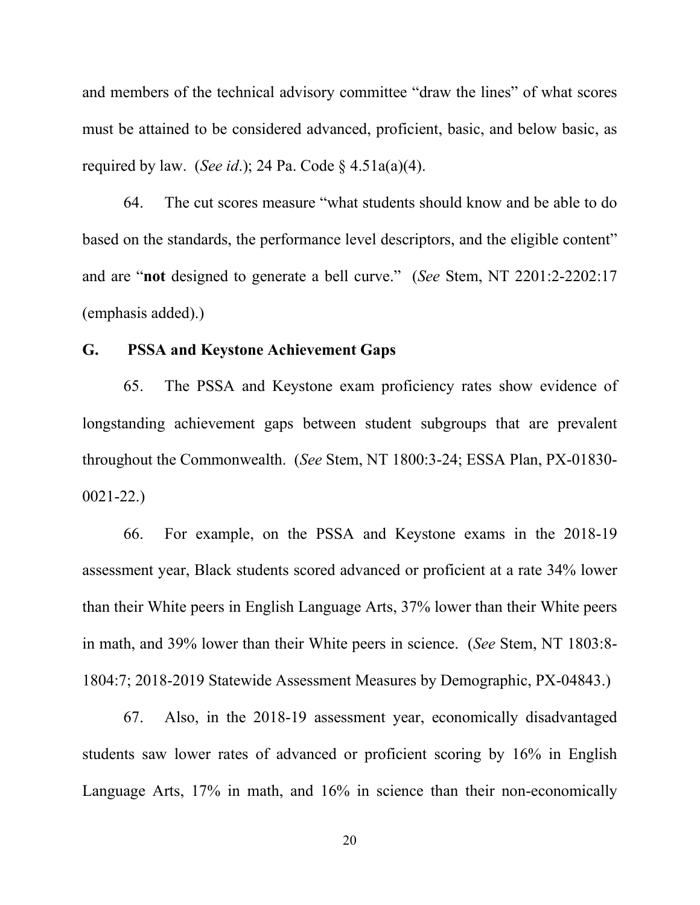and members of the technical advisory committee "draw the lines" of what scores must be attained to be considered advanced, proficient, basic, and below basic, as required by law. (*See id*.); 24 Pa. Code § 4.51a(a)(4).

64. The cut scores measure "what students should know and be able to do based on the standards, the performance level descriptors, and the eligible content" and are "**not** designed to generate a bell curve." (*See* Stem, NT 2201:2-2202:17 (emphasis added).)

# **G. PSSA and Keystone Achievement Gaps**

65. The PSSA and Keystone exam proficiency rates show evidence of longstanding achievement gaps between student subgroups that are prevalent throughout the Commonwealth. (*See* Stem, NT 1800:3-24; ESSA Plan, PX-01830- 0021-22.)

66. For example, on the PSSA and Keystone exams in the 2018-19 assessment year, Black students scored advanced or proficient at a rate 34% lower than their White peers in English Language Arts, 37% lower than their White peers in math, and 39% lower than their White peers in science. (*See* Stem, NT 1803:8- 1804:7; 2018-2019 Statewide Assessment Measures by Demographic, PX-04843.)

67. Also, in the 2018-19 assessment year, economically disadvantaged students saw lower rates of advanced or proficient scoring by 16% in English Language Arts, 17% in math, and 16% in science than their non-economically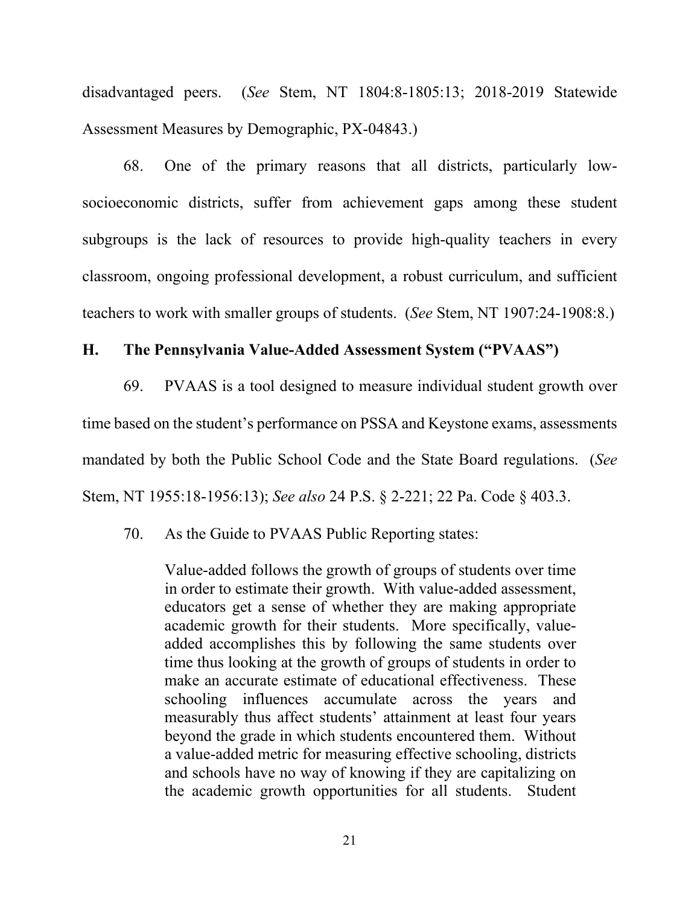disadvantaged peers. (*See* Stem, NT 1804:8-1805:13; 2018-2019 Statewide Assessment Measures by Demographic, PX-04843.)

68. One of the primary reasons that all districts, particularly lowsocioeconomic districts, suffer from achievement gaps among these student subgroups is the lack of resources to provide high-quality teachers in every classroom, ongoing professional development, a robust curriculum, and sufficient teachers to work with smaller groups of students. (*See* Stem, NT 1907:24-1908:8.)

# **H. The Pennsylvania Value-Added Assessment System ("PVAAS")**

69. PVAAS is a tool designed to measure individual student growth over time based on the student's performance on PSSA and Keystone exams, assessments mandated by both the Public School Code and the State Board regulations. (*See* Stem, NT 1955:18-1956:13); *See also* 24 P.S. § 2-221; 22 Pa. Code § 403.3.

70. As the Guide to PVAAS Public Reporting states:

Value-added follows the growth of groups of students over time in order to estimate their growth. With value-added assessment, educators get a sense of whether they are making appropriate academic growth for their students. More specifically, valueadded accomplishes this by following the same students over time thus looking at the growth of groups of students in order to make an accurate estimate of educational effectiveness. These schooling influences accumulate across the years and measurably thus affect students' attainment at least four years beyond the grade in which students encountered them. Without a value-added metric for measuring effective schooling, districts and schools have no way of knowing if they are capitalizing on the academic growth opportunities for all students. Student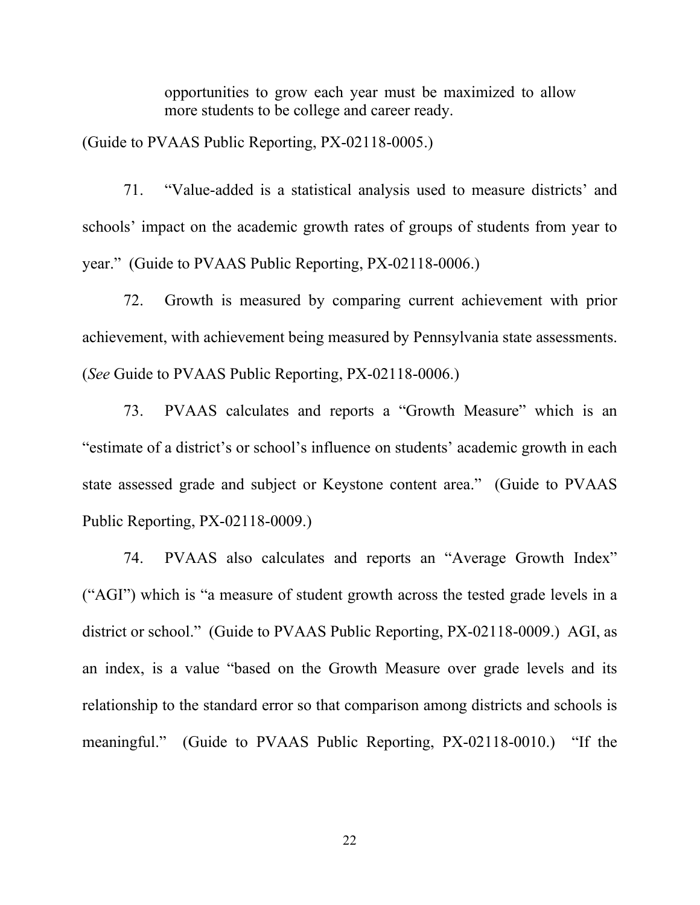opportunities to grow each year must be maximized to allow more students to be college and career ready.

(Guide to PVAAS Public Reporting, PX-02118-0005.)

71. "Value-added is a statistical analysis used to measure districts' and schools' impact on the academic growth rates of groups of students from year to year." (Guide to PVAAS Public Reporting, PX-02118-0006.)

72. Growth is measured by comparing current achievement with prior achievement, with achievement being measured by Pennsylvania state assessments. (*See* Guide to PVAAS Public Reporting, PX-02118-0006.)

73. PVAAS calculates and reports a "Growth Measure" which is an "estimate of a district's or school's influence on students' academic growth in each state assessed grade and subject or Keystone content area." (Guide to PVAAS Public Reporting, PX-02118-0009.)

74. PVAAS also calculates and reports an "Average Growth Index" ("AGI") which is "a measure of student growth across the tested grade levels in a district or school." (Guide to PVAAS Public Reporting, PX-02118-0009.) AGI, as an index, is a value "based on the Growth Measure over grade levels and its relationship to the standard error so that comparison among districts and schools is meaningful." (Guide to PVAAS Public Reporting, PX-02118-0010.) "If the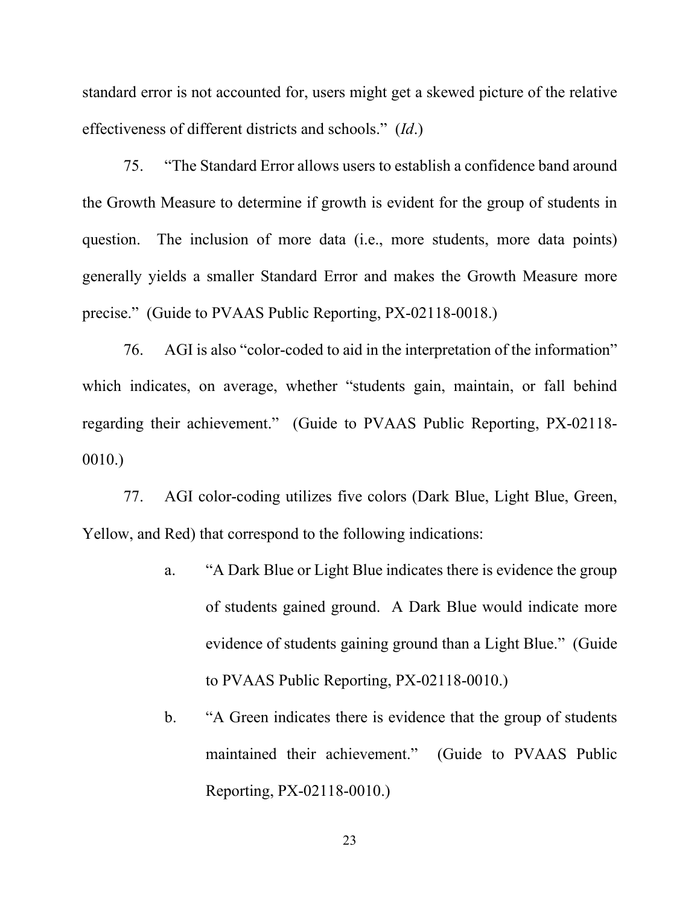standard error is not accounted for, users might get a skewed picture of the relative effectiveness of different districts and schools." (*Id*.)

75. "The Standard Error allows users to establish a confidence band around the Growth Measure to determine if growth is evident for the group of students in question. The inclusion of more data (i.e., more students, more data points) generally yields a smaller Standard Error and makes the Growth Measure more precise." (Guide to PVAAS Public Reporting, PX-02118-0018.)

76. AGI is also "color-coded to aid in the interpretation of the information" which indicates, on average, whether "students gain, maintain, or fall behind regarding their achievement." (Guide to PVAAS Public Reporting, PX-02118- 0010.)

77. AGI color-coding utilizes five colors (Dark Blue, Light Blue, Green, Yellow, and Red) that correspond to the following indications:

- a. "A Dark Blue or Light Blue indicates there is evidence the group of students gained ground. A Dark Blue would indicate more evidence of students gaining ground than a Light Blue." (Guide to PVAAS Public Reporting, PX-02118-0010.)
- b. "A Green indicates there is evidence that the group of students maintained their achievement." (Guide to PVAAS Public Reporting, PX-02118-0010.)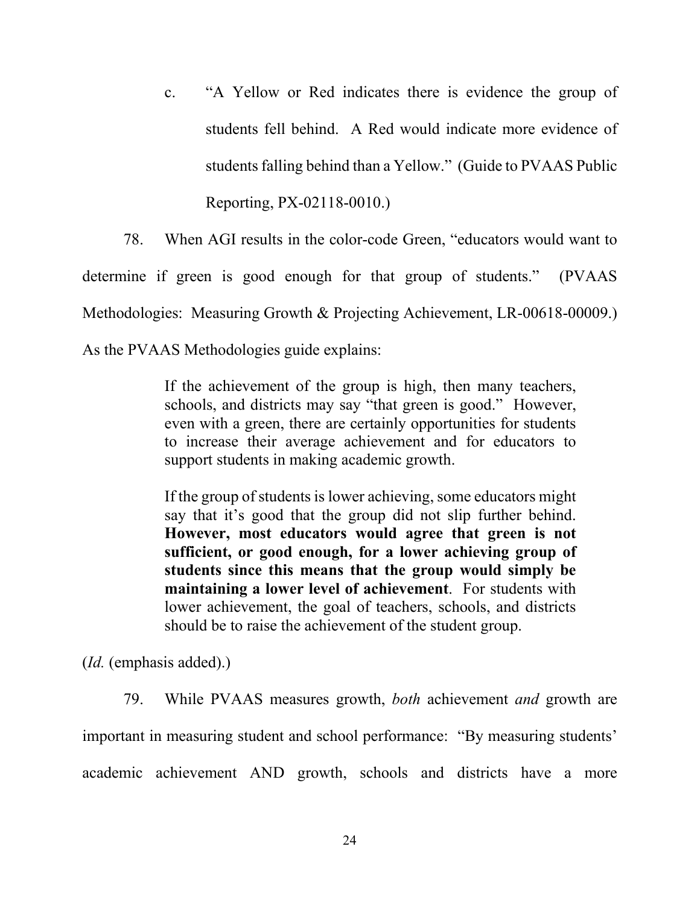c. "A Yellow or Red indicates there is evidence the group of students fell behind. A Red would indicate more evidence of students falling behind than a Yellow." (Guide to PVAAS Public Reporting, PX-02118-0010.)

78. When AGI results in the color-code Green, "educators would want to determine if green is good enough for that group of students." (PVAAS Methodologies: Measuring Growth & Projecting Achievement, LR-00618-00009.) As the PVAAS Methodologies guide explains:

> If the achievement of the group is high, then many teachers, schools, and districts may say "that green is good." However, even with a green, there are certainly opportunities for students to increase their average achievement and for educators to support students in making academic growth.

> If the group of students is lower achieving, some educators might say that it's good that the group did not slip further behind. **However, most educators would agree that green is not sufficient, or good enough, for a lower achieving group of students since this means that the group would simply be maintaining a lower level of achievement**. For students with lower achievement, the goal of teachers, schools, and districts should be to raise the achievement of the student group.

(*Id.* (emphasis added).)

79. While PVAAS measures growth, *both* achievement *and* growth are important in measuring student and school performance: "By measuring students' academic achievement AND growth, schools and districts have a more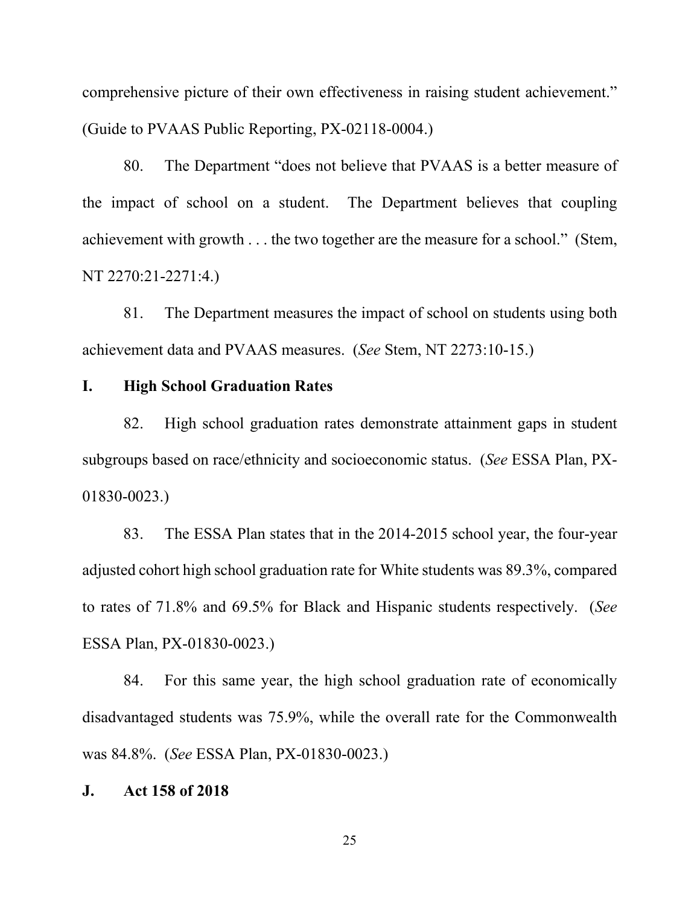comprehensive picture of their own effectiveness in raising student achievement." (Guide to PVAAS Public Reporting, PX-02118-0004.)

80. The Department "does not believe that PVAAS is a better measure of the impact of school on a student. The Department believes that coupling achievement with growth . . . the two together are the measure for a school." (Stem, NT 2270:21-2271:4.)

81. The Department measures the impact of school on students using both achievement data and PVAAS measures. (*See* Stem, NT 2273:10-15.)

# **I. High School Graduation Rates**

82. High school graduation rates demonstrate attainment gaps in student subgroups based on race/ethnicity and socioeconomic status. (*See* ESSA Plan, PX-01830-0023.)

83. The ESSA Plan states that in the 2014-2015 school year, the four-year adjusted cohort high school graduation rate for White students was 89.3%, compared to rates of 71.8% and 69.5% for Black and Hispanic students respectively. (*See* ESSA Plan, PX-01830-0023.)

84. For this same year, the high school graduation rate of economically disadvantaged students was 75.9%, while the overall rate for the Commonwealth was 84.8%. (*See* ESSA Plan, PX-01830-0023.)

## **J. Act 158 of 2018**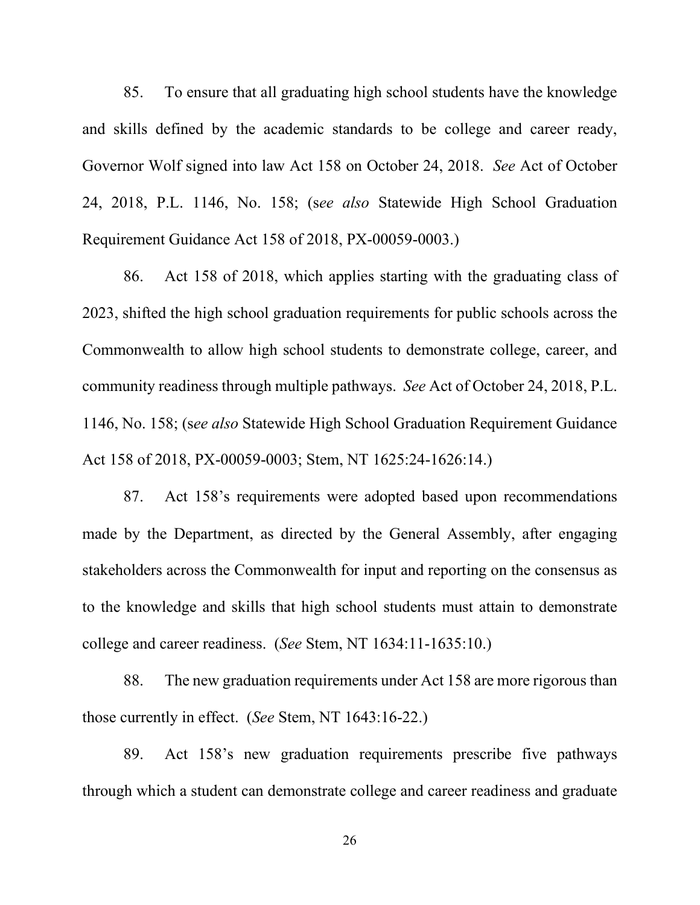85. To ensure that all graduating high school students have the knowledge and skills defined by the academic standards to be college and career ready, Governor Wolf signed into law Act 158 on October 24, 2018. *See* Act of October 24, 2018, P.L. 1146, No. 158; (s*ee also* Statewide High School Graduation Requirement Guidance Act 158 of 2018, PX-00059-0003.)

86. Act 158 of 2018, which applies starting with the graduating class of 2023, shifted the high school graduation requirements for public schools across the Commonwealth to allow high school students to demonstrate college, career, and community readiness through multiple pathways. *See* Act of October 24, 2018, P.L. 1146, No. 158; (s*ee also* Statewide High School Graduation Requirement Guidance Act 158 of 2018, PX-00059-0003; Stem, NT 1625:24-1626:14.)

87. Act 158's requirements were adopted based upon recommendations made by the Department, as directed by the General Assembly, after engaging stakeholders across the Commonwealth for input and reporting on the consensus as to the knowledge and skills that high school students must attain to demonstrate college and career readiness. (*See* Stem, NT 1634:11-1635:10.)

88. The new graduation requirements under Act 158 are more rigorous than those currently in effect. (*See* Stem, NT 1643:16-22.)

89. Act 158's new graduation requirements prescribe five pathways through which a student can demonstrate college and career readiness and graduate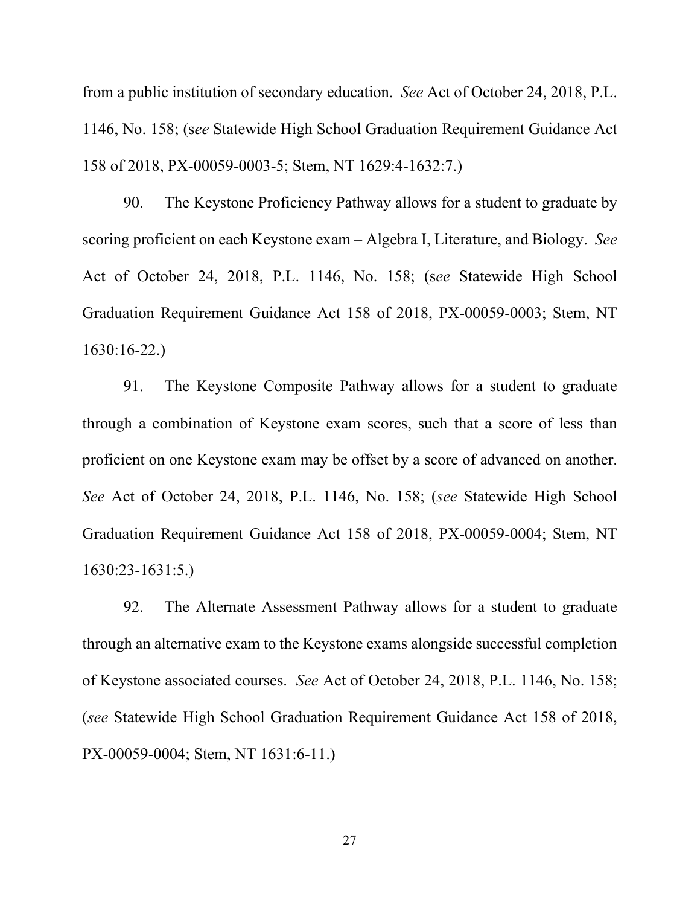from a public institution of secondary education. *See* Act of October 24, 2018, P.L. 1146, No. 158; (s*ee* Statewide High School Graduation Requirement Guidance Act 158 of 2018, PX-00059-0003-5; Stem, NT 1629:4-1632:7.)

90. The Keystone Proficiency Pathway allows for a student to graduate by scoring proficient on each Keystone exam – Algebra I, Literature, and Biology. *See*  Act of October 24, 2018, P.L. 1146, No. 158; (s*ee* Statewide High School Graduation Requirement Guidance Act 158 of 2018, PX-00059-0003; Stem, NT 1630:16-22.)

91. The Keystone Composite Pathway allows for a student to graduate through a combination of Keystone exam scores, such that a score of less than proficient on one Keystone exam may be offset by a score of advanced on another. *See* Act of October 24, 2018, P.L. 1146, No. 158; (*see* Statewide High School Graduation Requirement Guidance Act 158 of 2018, PX-00059-0004; Stem, NT 1630:23-1631:5.)

92. The Alternate Assessment Pathway allows for a student to graduate through an alternative exam to the Keystone exams alongside successful completion of Keystone associated courses. *See* Act of October 24, 2018, P.L. 1146, No. 158; (*see* Statewide High School Graduation Requirement Guidance Act 158 of 2018, PX-00059-0004; Stem, NT 1631:6-11.)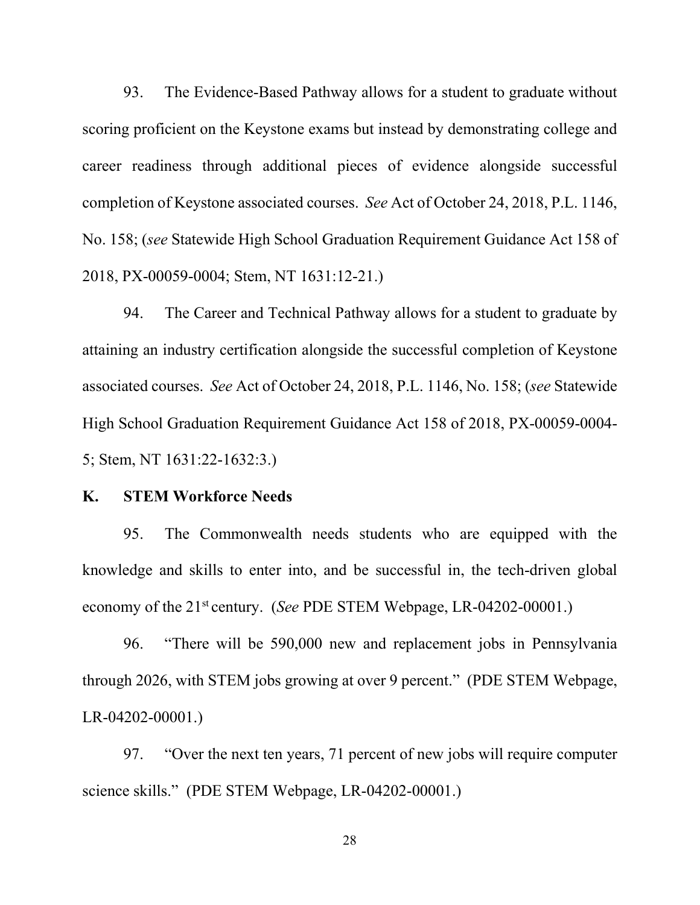93. The Evidence-Based Pathway allows for a student to graduate without scoring proficient on the Keystone exams but instead by demonstrating college and career readiness through additional pieces of evidence alongside successful completion of Keystone associated courses. *See* Act of October 24, 2018, P.L. 1146, No. 158; (*see* Statewide High School Graduation Requirement Guidance Act 158 of 2018, PX-00059-0004; Stem, NT 1631:12-21.)

94. The Career and Technical Pathway allows for a student to graduate by attaining an industry certification alongside the successful completion of Keystone associated courses. *See* Act of October 24, 2018, P.L. 1146, No. 158; (*see* Statewide High School Graduation Requirement Guidance Act 158 of 2018, PX-00059-0004- 5; Stem, NT 1631:22-1632:3.)

## **K. STEM Workforce Needs**

95. The Commonwealth needs students who are equipped with the knowledge and skills to enter into, and be successful in, the tech-driven global economy of the 21<sup>st</sup> century. (*See* PDE STEM Webpage, LR-04202-00001.)

96. "There will be 590,000 new and replacement jobs in Pennsylvania through 2026, with STEM jobs growing at over 9 percent." (PDE STEM Webpage, LR-04202-00001.)

97. "Over the next ten years, 71 percent of new jobs will require computer science skills." (PDE STEM Webpage, LR-04202-00001.)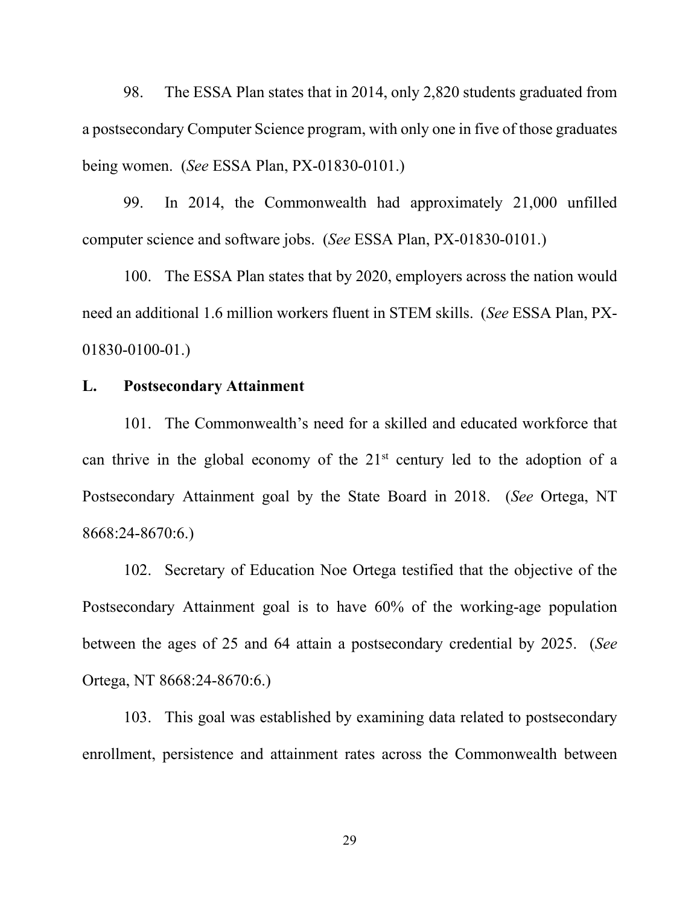98. The ESSA Plan states that in 2014, only 2,820 students graduated from a postsecondary Computer Science program, with only one in five of those graduates being women. (*See* ESSA Plan, PX-01830-0101.)

99. In 2014, the Commonwealth had approximately 21,000 unfilled computer science and software jobs. (*See* ESSA Plan, PX-01830-0101.)

100. The ESSA Plan states that by 2020, employers across the nation would need an additional 1.6 million workers fluent in STEM skills. (*See* ESSA Plan, PX-01830-0100-01.)

# **L. Postsecondary Attainment**

101. The Commonwealth's need for a skilled and educated workforce that can thrive in the global economy of the  $21<sup>st</sup>$  century led to the adoption of a Postsecondary Attainment goal by the State Board in 2018. (*See* Ortega, NT 8668:24-8670:6.)

102. Secretary of Education Noe Ortega testified that the objective of the Postsecondary Attainment goal is to have 60% of the working-age population between the ages of 25 and 64 attain a postsecondary credential by 2025. (*See*  Ortega, NT 8668:24-8670:6.)

103. This goal was established by examining data related to postsecondary enrollment, persistence and attainment rates across the Commonwealth between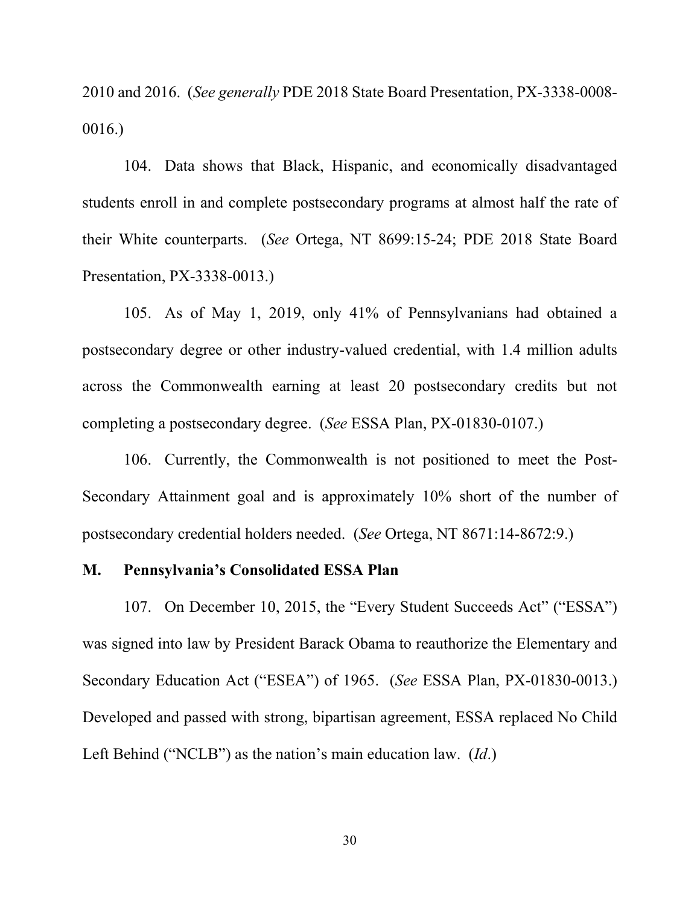2010 and 2016. (*See generally* PDE 2018 State Board Presentation, PX-3338-0008- 0016.)

104. Data shows that Black, Hispanic, and economically disadvantaged students enroll in and complete postsecondary programs at almost half the rate of their White counterparts. (*See* Ortega, NT 8699:15-24; PDE 2018 State Board Presentation, PX-3338-0013.)

105. As of May 1, 2019, only 41% of Pennsylvanians had obtained a postsecondary degree or other industry-valued credential, with 1.4 million adults across the Commonwealth earning at least 20 postsecondary credits but not completing a postsecondary degree. (*See* ESSA Plan, PX-01830-0107.)

106. Currently, the Commonwealth is not positioned to meet the Post-Secondary Attainment goal and is approximately 10% short of the number of postsecondary credential holders needed. (*See* Ortega, NT 8671:14-8672:9.)

#### **M. Pennsylvania's Consolidated ESSA Plan**

107. On December 10, 2015, the "Every Student Succeeds Act" ("ESSA") was signed into law by President Barack Obama to reauthorize the Elementary and Secondary Education Act ("ESEA") of 1965. (*See* ESSA Plan, PX-01830-0013.) Developed and passed with strong, bipartisan agreement, ESSA replaced No Child Left Behind ("NCLB") as the nation's main education law. (*Id*.)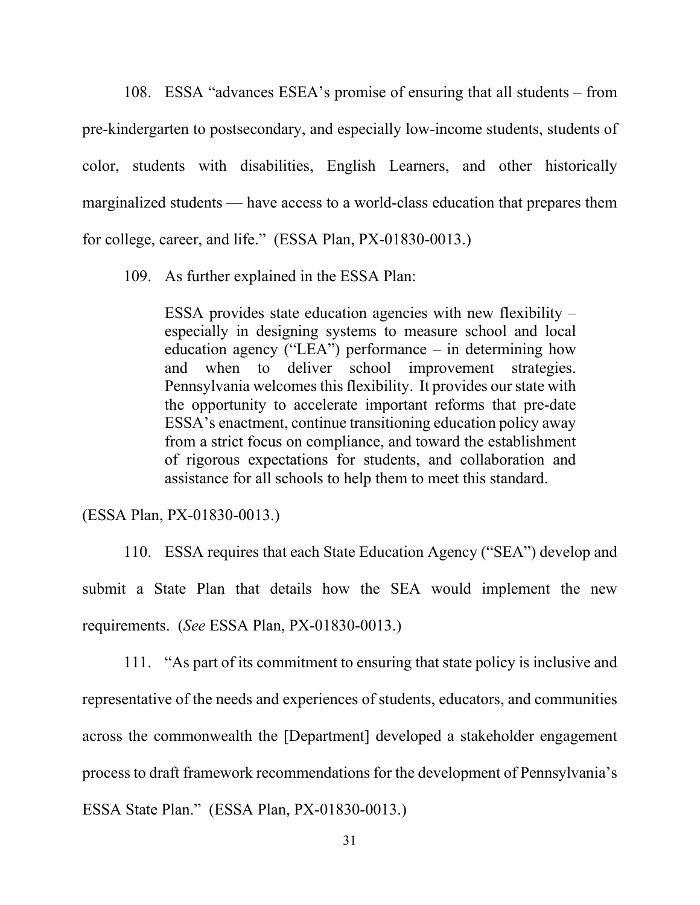108. ESSA "advances ESEA's promise of ensuring that all students – from pre-kindergarten to postsecondary, and especially low-income students, students of color, students with disabilities, English Learners, and other historically marginalized students –– have access to a world-class education that prepares them for college, career, and life." (ESSA Plan, PX-01830-0013.)

109. As further explained in the ESSA Plan:

ESSA provides state education agencies with new flexibility – especially in designing systems to measure school and local education agency ("LEA") performance – in determining how and when to deliver school improvement strategies. Pennsylvania welcomes this flexibility. It provides our state with the opportunity to accelerate important reforms that pre-date ESSA's enactment, continue transitioning education policy away from a strict focus on compliance, and toward the establishment of rigorous expectations for students, and collaboration and assistance for all schools to help them to meet this standard.

(ESSA Plan, PX-01830-0013.)

110. ESSA requires that each State Education Agency ("SEA") develop and submit a State Plan that details how the SEA would implement the new requirements. (*See* ESSA Plan, PX-01830-0013.)

111. "As part of its commitment to ensuring that state policy is inclusive and representative of the needs and experiences of students, educators, and communities across the commonwealth the [Department] developed a stakeholder engagement process to draft framework recommendations for the development of Pennsylvania's ESSA State Plan." (ESSA Plan, PX-01830-0013.)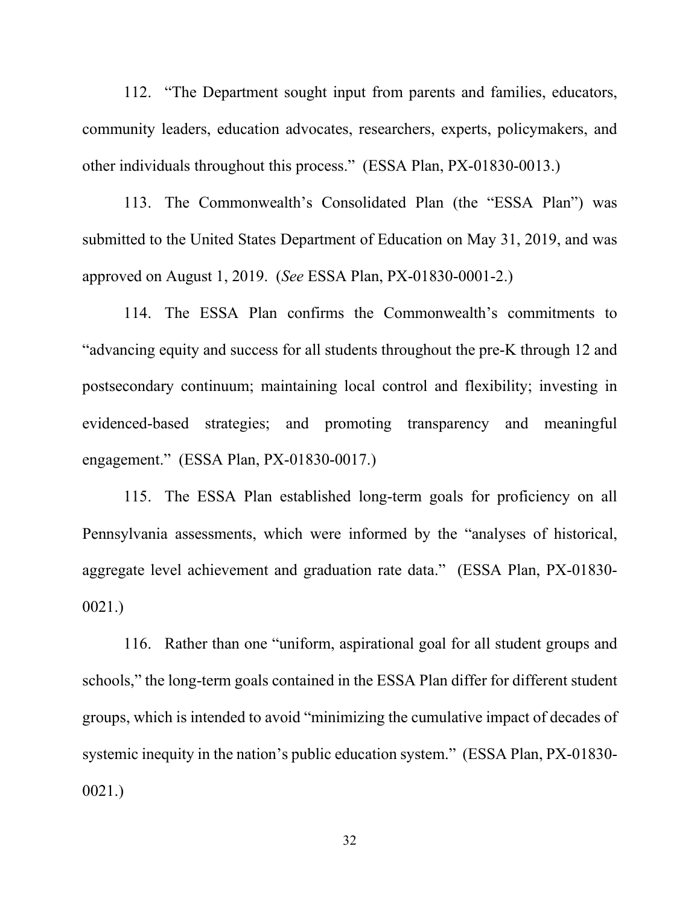112. "The Department sought input from parents and families, educators, community leaders, education advocates, researchers, experts, policymakers, and other individuals throughout this process." (ESSA Plan, PX-01830-0013.)

113. The Commonwealth's Consolidated Plan (the "ESSA Plan") was submitted to the United States Department of Education on May 31, 2019, and was approved on August 1, 2019. (*See* ESSA Plan, PX-01830-0001-2.)

114. The ESSA Plan confirms the Commonwealth's commitments to "advancing equity and success for all students throughout the pre-K through 12 and postsecondary continuum; maintaining local control and flexibility; investing in evidenced-based strategies; and promoting transparency and meaningful engagement." (ESSA Plan, PX-01830-0017.)

115. The ESSA Plan established long-term goals for proficiency on all Pennsylvania assessments, which were informed by the "analyses of historical, aggregate level achievement and graduation rate data." (ESSA Plan, PX-01830- 0021.)

116. Rather than one "uniform, aspirational goal for all student groups and schools," the long-term goals contained in the ESSA Plan differ for different student groups, which is intended to avoid "minimizing the cumulative impact of decades of systemic inequity in the nation's public education system." (ESSA Plan, PX-01830- 0021.)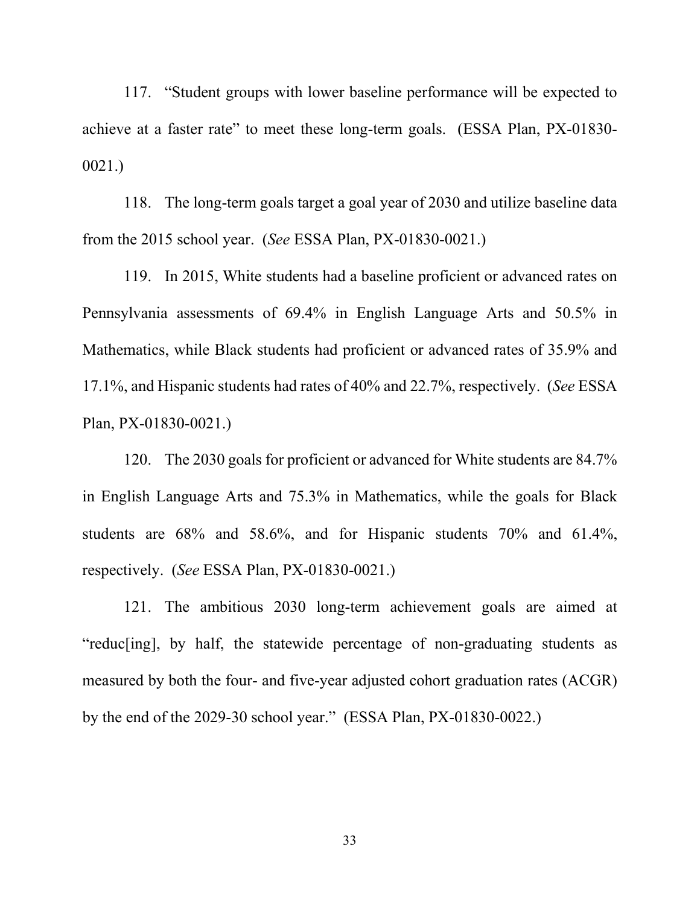117. "Student groups with lower baseline performance will be expected to achieve at a faster rate" to meet these long-term goals. (ESSA Plan, PX-01830- 0021.)

118. The long-term goals target a goal year of 2030 and utilize baseline data from the 2015 school year. (*See* ESSA Plan, PX-01830-0021.)

119. In 2015, White students had a baseline proficient or advanced rates on Pennsylvania assessments of 69.4% in English Language Arts and 50.5% in Mathematics, while Black students had proficient or advanced rates of 35.9% and 17.1%, and Hispanic students had rates of 40% and 22.7%, respectively. (*See* ESSA Plan, PX-01830-0021.)

120. The 2030 goals for proficient or advanced for White students are 84.7% in English Language Arts and 75.3% in Mathematics, while the goals for Black students are 68% and 58.6%, and for Hispanic students 70% and 61.4%, respectively. (*See* ESSA Plan, PX-01830-0021.)

121. The ambitious 2030 long-term achievement goals are aimed at "reduc[ing], by half, the statewide percentage of non-graduating students as measured by both the four- and five-year adjusted cohort graduation rates (ACGR) by the end of the 2029-30 school year." (ESSA Plan, PX-01830-0022.)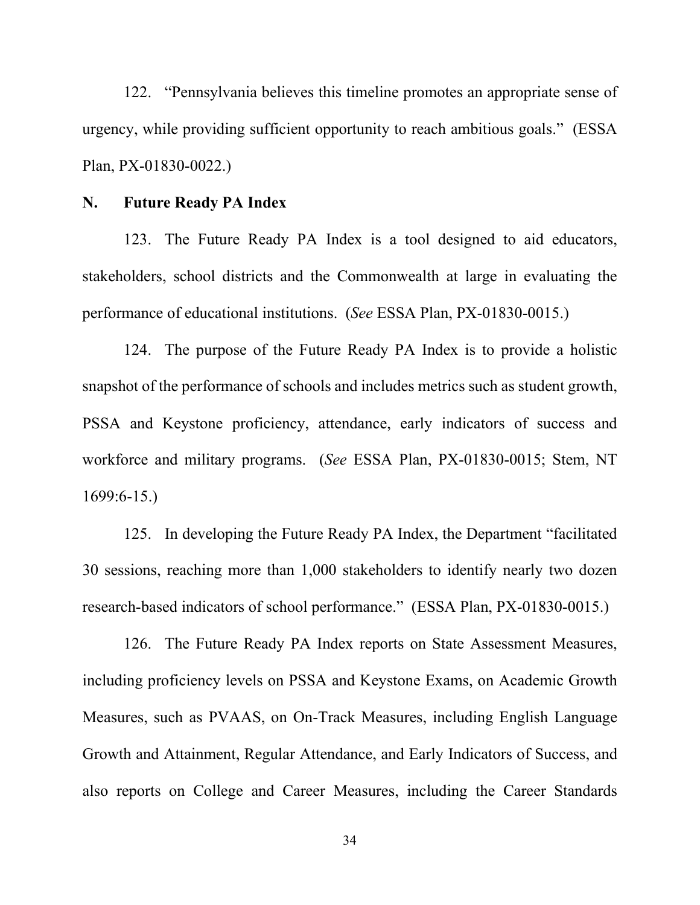122. "Pennsylvania believes this timeline promotes an appropriate sense of urgency, while providing sufficient opportunity to reach ambitious goals." (ESSA Plan, PX-01830-0022.)

## **N. Future Ready PA Index**

123. The Future Ready PA Index is a tool designed to aid educators, stakeholders, school districts and the Commonwealth at large in evaluating the performance of educational institutions. (*See* ESSA Plan, PX-01830-0015.)

124. The purpose of the Future Ready PA Index is to provide a holistic snapshot of the performance of schools and includes metrics such as student growth, PSSA and Keystone proficiency, attendance, early indicators of success and workforce and military programs. (*See* ESSA Plan, PX-01830-0015; Stem, NT 1699:6-15.)

125. In developing the Future Ready PA Index, the Department "facilitated 30 sessions, reaching more than 1,000 stakeholders to identify nearly two dozen research-based indicators of school performance." (ESSA Plan, PX-01830-0015.)

126. The Future Ready PA Index reports on State Assessment Measures, including proficiency levels on PSSA and Keystone Exams, on Academic Growth Measures, such as PVAAS, on On-Track Measures, including English Language Growth and Attainment, Regular Attendance, and Early Indicators of Success, and also reports on College and Career Measures, including the Career Standards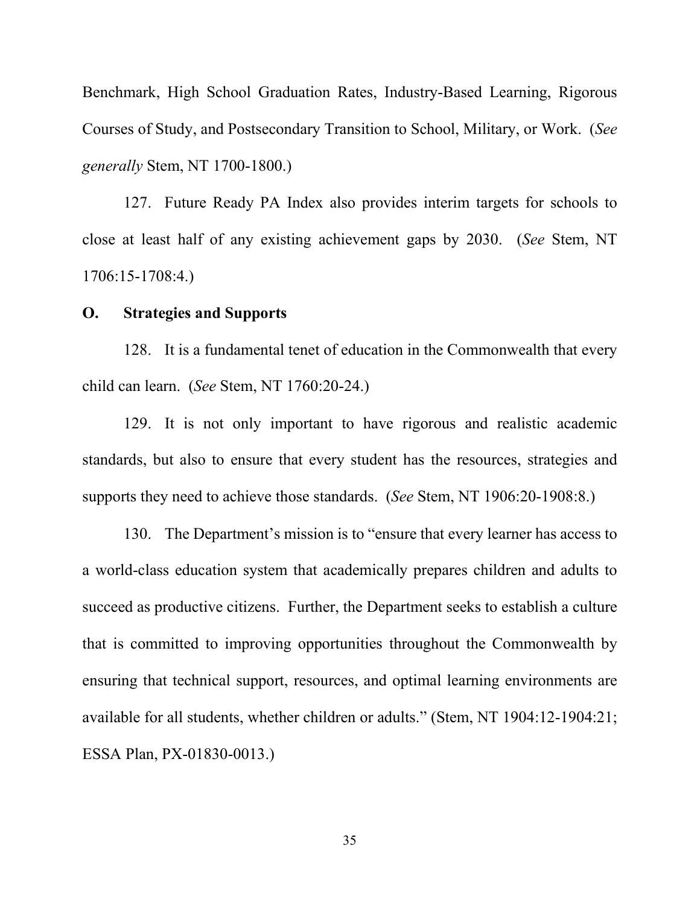Benchmark, High School Graduation Rates, Industry-Based Learning, Rigorous Courses of Study, and Postsecondary Transition to School, Military, or Work. (*See generally* Stem, NT 1700-1800.)

127. Future Ready PA Index also provides interim targets for schools to close at least half of any existing achievement gaps by 2030. (*See* Stem, NT 1706:15-1708:4.)

#### **O. Strategies and Supports**

128. It is a fundamental tenet of education in the Commonwealth that every child can learn. (*See* Stem, NT 1760:20-24.)

129. It is not only important to have rigorous and realistic academic standards, but also to ensure that every student has the resources, strategies and supports they need to achieve those standards. (*See* Stem, NT 1906:20-1908:8.)

130. The Department's mission is to "ensure that every learner has access to a world-class education system that academically prepares children and adults to succeed as productive citizens. Further, the Department seeks to establish a culture that is committed to improving opportunities throughout the Commonwealth by ensuring that technical support, resources, and optimal learning environments are available for all students, whether children or adults." (Stem, NT 1904:12-1904:21; ESSA Plan, PX-01830-0013.)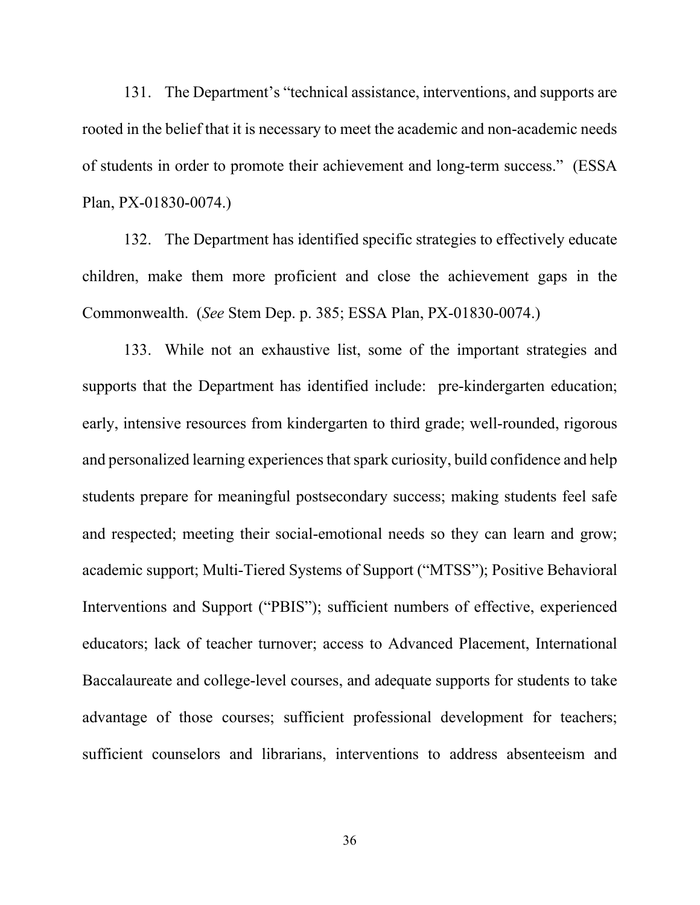131. The Department's "technical assistance, interventions, and supports are rooted in the belief that it is necessary to meet the academic and non-academic needs of students in order to promote their achievement and long-term success." (ESSA Plan, PX-01830-0074.)

132. The Department has identified specific strategies to effectively educate children, make them more proficient and close the achievement gaps in the Commonwealth. (*See* Stem Dep. p. 385; ESSA Plan, PX-01830-0074.)

133. While not an exhaustive list, some of the important strategies and supports that the Department has identified include: pre-kindergarten education; early, intensive resources from kindergarten to third grade; well-rounded, rigorous and personalized learning experiences that spark curiosity, build confidence and help students prepare for meaningful postsecondary success; making students feel safe and respected; meeting their social-emotional needs so they can learn and grow; academic support; Multi-Tiered Systems of Support ("MTSS"); Positive Behavioral Interventions and Support ("PBIS"); sufficient numbers of effective, experienced educators; lack of teacher turnover; access to Advanced Placement, International Baccalaureate and college-level courses, and adequate supports for students to take advantage of those courses; sufficient professional development for teachers; sufficient counselors and librarians, interventions to address absenteeism and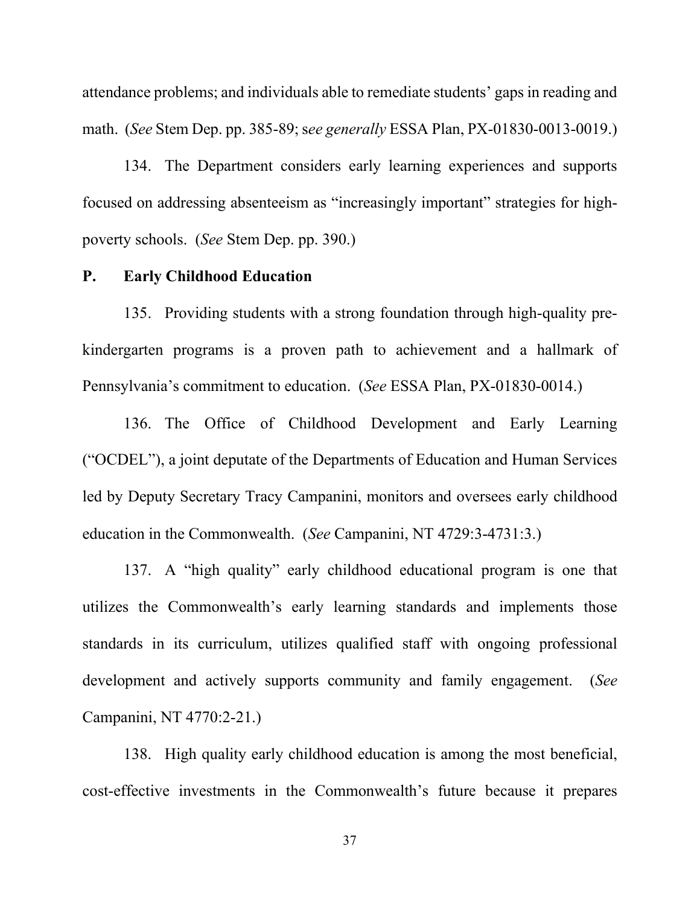attendance problems; and individuals able to remediate students' gaps in reading and math. (*See* Stem Dep. pp. 385-89; s*ee generally* ESSA Plan, PX-01830-0013-0019.)

134. The Department considers early learning experiences and supports focused on addressing absenteeism as "increasingly important" strategies for highpoverty schools. (*See* Stem Dep. pp. 390.)

## **P. Early Childhood Education**

135. Providing students with a strong foundation through high-quality prekindergarten programs is a proven path to achievement and a hallmark of Pennsylvania's commitment to education. (*See* ESSA Plan, PX-01830-0014.)

136. The Office of Childhood Development and Early Learning ("OCDEL"), a joint deputate of the Departments of Education and Human Services led by Deputy Secretary Tracy Campanini, monitors and oversees early childhood education in the Commonwealth. (*See* Campanini, NT 4729:3-4731:3.)

137. A "high quality" early childhood educational program is one that utilizes the Commonwealth's early learning standards and implements those standards in its curriculum, utilizes qualified staff with ongoing professional development and actively supports community and family engagement. (*See* Campanini, NT 4770:2-21.)

138. High quality early childhood education is among the most beneficial, cost-effective investments in the Commonwealth's future because it prepares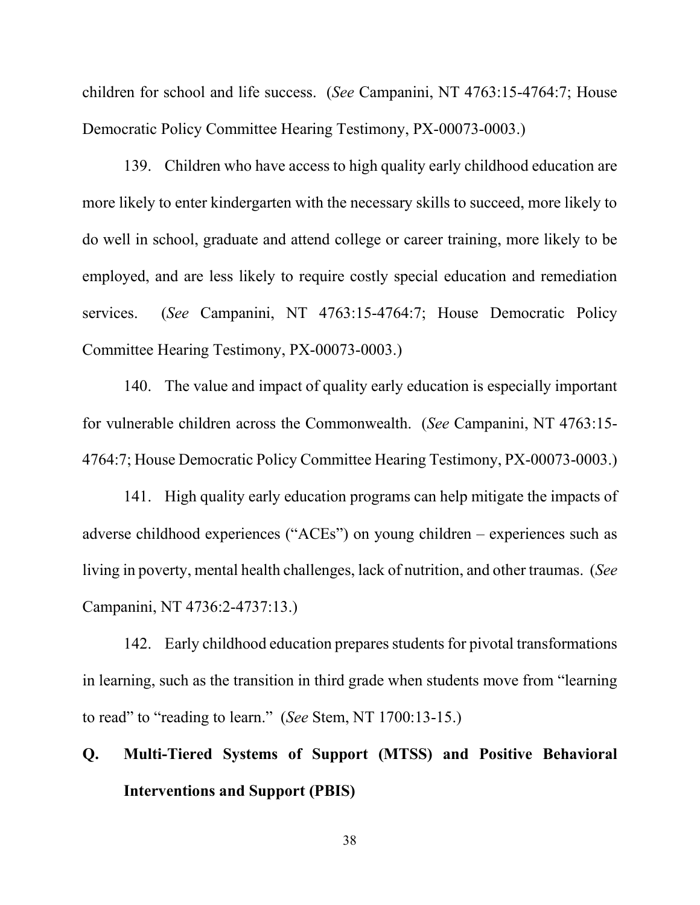children for school and life success. (*See* Campanini, NT 4763:15-4764:7; House Democratic Policy Committee Hearing Testimony, PX-00073-0003.)

139. Children who have access to high quality early childhood education are more likely to enter kindergarten with the necessary skills to succeed, more likely to do well in school, graduate and attend college or career training, more likely to be employed, and are less likely to require costly special education and remediation services. (*See* Campanini, NT 4763:15-4764:7; House Democratic Policy Committee Hearing Testimony, PX-00073-0003.)

140. The value and impact of quality early education is especially important for vulnerable children across the Commonwealth. (*See* Campanini, NT 4763:15- 4764:7; House Democratic Policy Committee Hearing Testimony, PX-00073-0003.)

141. High quality early education programs can help mitigate the impacts of adverse childhood experiences ("ACEs") on young children – experiences such as living in poverty, mental health challenges, lack of nutrition, and other traumas. (*See* Campanini, NT 4736:2-4737:13.)

142. Early childhood education prepares students for pivotal transformations in learning, such as the transition in third grade when students move from "learning to read" to "reading to learn." (*See* Stem, NT 1700:13-15.)

# **Q. Multi-Tiered Systems of Support (MTSS) and Positive Behavioral Interventions and Support (PBIS)**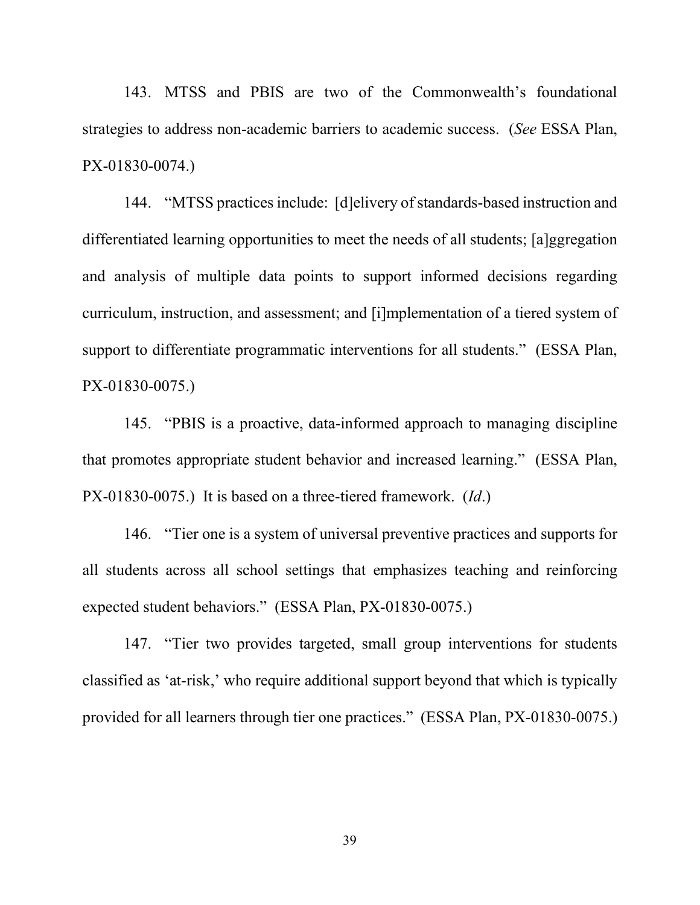143. MTSS and PBIS are two of the Commonwealth's foundational strategies to address non-academic barriers to academic success. (*See* ESSA Plan, PX-01830-0074.)

144. "MTSS practices include: [d]elivery of standards-based instruction and differentiated learning opportunities to meet the needs of all students; [a]ggregation and analysis of multiple data points to support informed decisions regarding curriculum, instruction, and assessment; and [i]mplementation of a tiered system of support to differentiate programmatic interventions for all students." (ESSA Plan, PX-01830-0075.)

145. "PBIS is a proactive, data-informed approach to managing discipline that promotes appropriate student behavior and increased learning." (ESSA Plan, PX-01830-0075.) It is based on a three-tiered framework. (*Id*.)

146. "Tier one is a system of universal preventive practices and supports for all students across all school settings that emphasizes teaching and reinforcing expected student behaviors." (ESSA Plan, PX-01830-0075.)

147. "Tier two provides targeted, small group interventions for students classified as 'at-risk,' who require additional support beyond that which is typically provided for all learners through tier one practices." (ESSA Plan, PX-01830-0075.)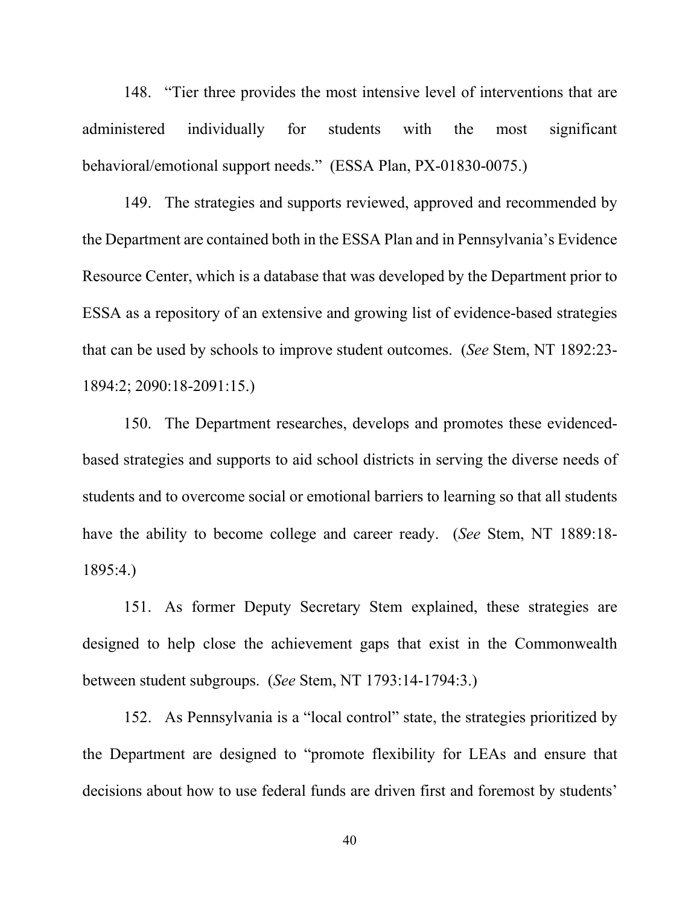148. "Tier three provides the most intensive level of interventions that are administered individually for students with the most significant behavioral/emotional support needs." (ESSA Plan, PX-01830-0075.)

149. The strategies and supports reviewed, approved and recommended by the Department are contained both in the ESSA Plan and in Pennsylvania's Evidence Resource Center, which is a database that was developed by the Department prior to ESSA as a repository of an extensive and growing list of evidence-based strategies that can be used by schools to improve student outcomes. (*See* Stem, NT 1892:23- 1894:2; 2090:18-2091:15.)

150. The Department researches, develops and promotes these evidencedbased strategies and supports to aid school districts in serving the diverse needs of students and to overcome social or emotional barriers to learning so that all students have the ability to become college and career ready. (*See* Stem, NT 1889:18- 1895:4.)

151. As former Deputy Secretary Stem explained, these strategies are designed to help close the achievement gaps that exist in the Commonwealth between student subgroups. (*See* Stem, NT 1793:14-1794:3.)

152. As Pennsylvania is a "local control" state, the strategies prioritized by the Department are designed to "promote flexibility for LEAs and ensure that decisions about how to use federal funds are driven first and foremost by students'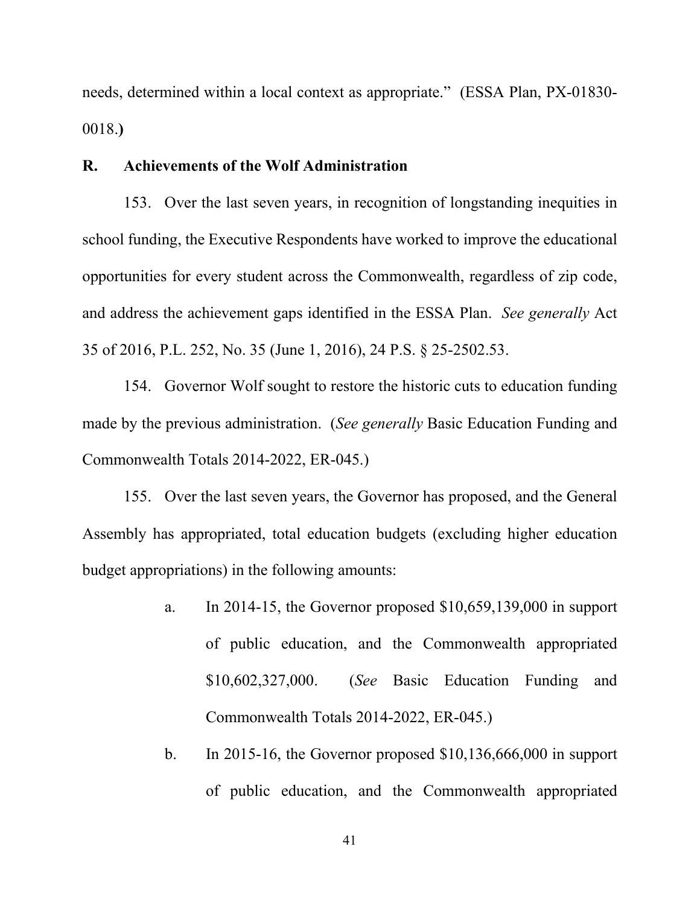needs, determined within a local context as appropriate." (ESSA Plan, PX-01830- 0018.**)**

## **R. Achievements of the Wolf Administration**

153. Over the last seven years, in recognition of longstanding inequities in school funding, the Executive Respondents have worked to improve the educational opportunities for every student across the Commonwealth, regardless of zip code, and address the achievement gaps identified in the ESSA Plan. *See generally* Act 35 of 2016, P.L. 252, No. 35 (June 1, 2016), 24 P.S. § 25-2502.53.

154. Governor Wolf sought to restore the historic cuts to education funding made by the previous administration. (*See generally* Basic Education Funding and Commonwealth Totals 2014-2022, ER-045.)

155. Over the last seven years, the Governor has proposed, and the General Assembly has appropriated, total education budgets (excluding higher education budget appropriations) in the following amounts:

- a. In 2014-15, the Governor proposed \$10,659,139,000 in support of public education, and the Commonwealth appropriated \$10,602,327,000. (*See* Basic Education Funding and Commonwealth Totals 2014-2022, ER-045.)
- b. In 2015-16, the Governor proposed \$10,136,666,000 in support of public education, and the Commonwealth appropriated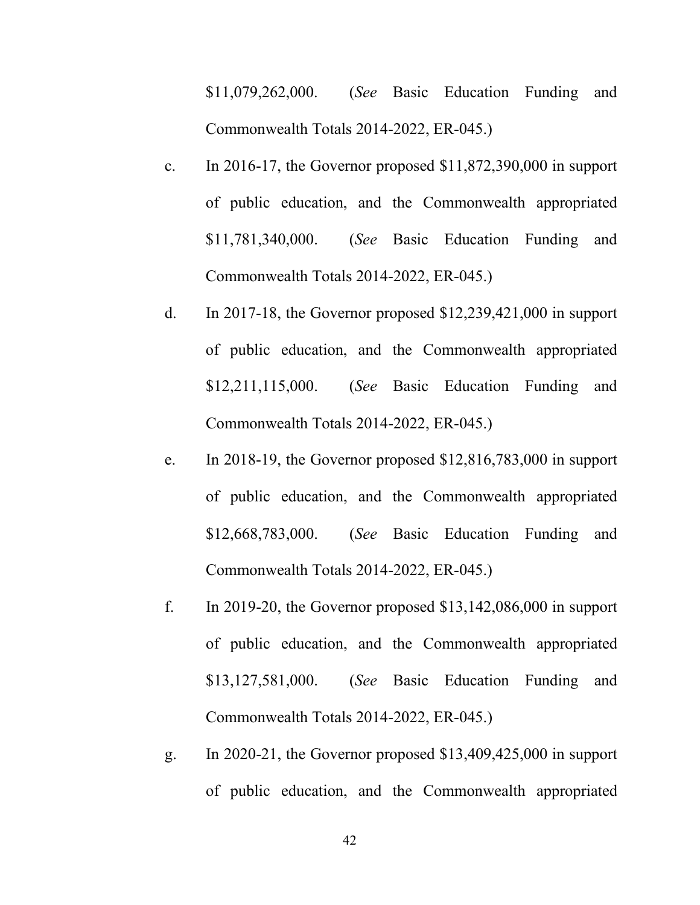\$11,079,262,000. (*See* Basic Education Funding and Commonwealth Totals 2014-2022, ER-045.)

- c. In 2016-17, the Governor proposed \$11,872,390,000 in support of public education, and the Commonwealth appropriated \$11,781,340,000. (*See* Basic Education Funding and Commonwealth Totals 2014-2022, ER-045.)
- d. In 2017-18, the Governor proposed \$12,239,421,000 in support of public education, and the Commonwealth appropriated \$12,211,115,000. (*See* Basic Education Funding and Commonwealth Totals 2014-2022, ER-045.)
- e. In 2018-19, the Governor proposed \$12,816,783,000 in support of public education, and the Commonwealth appropriated \$12,668,783,000. (*See* Basic Education Funding and Commonwealth Totals 2014-2022, ER-045.)
- f. In 2019-20, the Governor proposed \$13,142,086,000 in support of public education, and the Commonwealth appropriated \$13,127,581,000. (*See* Basic Education Funding and Commonwealth Totals 2014-2022, ER-045.)
- g. In 2020-21, the Governor proposed \$13,409,425,000 in support of public education, and the Commonwealth appropriated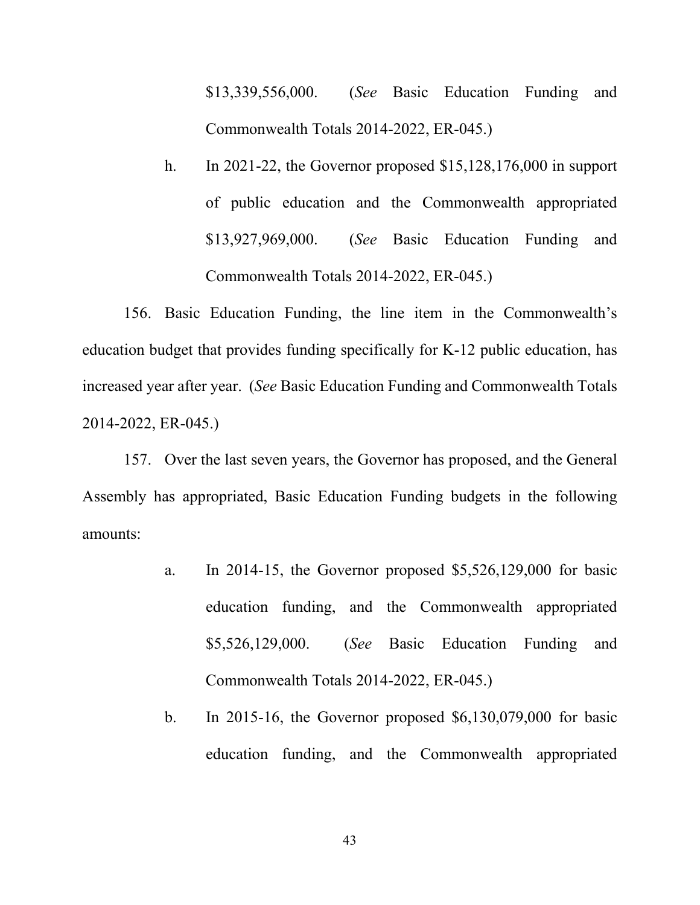\$13,339,556,000. (*See* Basic Education Funding and Commonwealth Totals 2014-2022, ER-045.)

h. In 2021-22, the Governor proposed \$15,128,176,000 in support of public education and the Commonwealth appropriated \$13,927,969,000. (*See* Basic Education Funding and Commonwealth Totals 2014-2022, ER-045.)

156. Basic Education Funding, the line item in the Commonwealth's education budget that provides funding specifically for K-12 public education, has increased year after year. (*See* Basic Education Funding and Commonwealth Totals 2014-2022, ER-045.)

157. Over the last seven years, the Governor has proposed, and the General Assembly has appropriated, Basic Education Funding budgets in the following amounts:

- a. In 2014-15, the Governor proposed \$5,526,129,000 for basic education funding, and the Commonwealth appropriated \$5,526,129,000. (*See* Basic Education Funding and Commonwealth Totals 2014-2022, ER-045.)
- b. In 2015-16, the Governor proposed \$6,130,079,000 for basic education funding, and the Commonwealth appropriated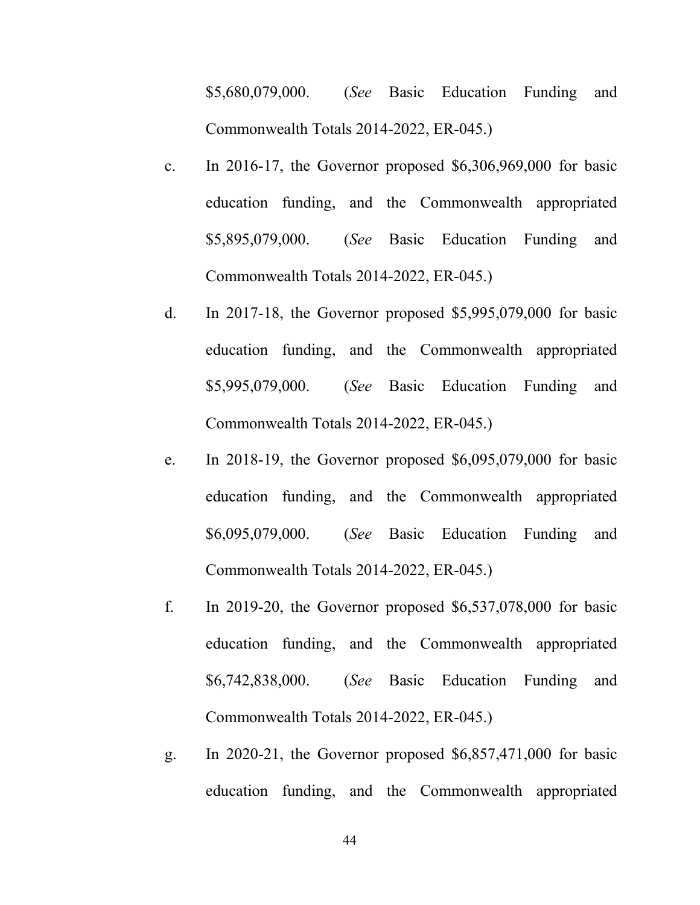\$5,680,079,000. (*See* Basic Education Funding and Commonwealth Totals 2014-2022, ER-045.)

- c. In 2016-17, the Governor proposed \$6,306,969,000 for basic education funding, and the Commonwealth appropriated \$5,895,079,000. (*See* Basic Education Funding and Commonwealth Totals 2014-2022, ER-045.)
- d. In 2017-18, the Governor proposed \$5,995,079,000 for basic education funding, and the Commonwealth appropriated \$5,995,079,000. (*See* Basic Education Funding and Commonwealth Totals 2014-2022, ER-045.)
- e. In 2018-19, the Governor proposed \$6,095,079,000 for basic education funding, and the Commonwealth appropriated \$6,095,079,000. (*See* Basic Education Funding and Commonwealth Totals 2014-2022, ER-045.)
- f. In 2019-20, the Governor proposed \$6,537,078,000 for basic education funding, and the Commonwealth appropriated \$6,742,838,000. (*See* Basic Education Funding and Commonwealth Totals 2014-2022, ER-045.)
- g. In 2020-21, the Governor proposed \$6,857,471,000 for basic education funding, and the Commonwealth appropriated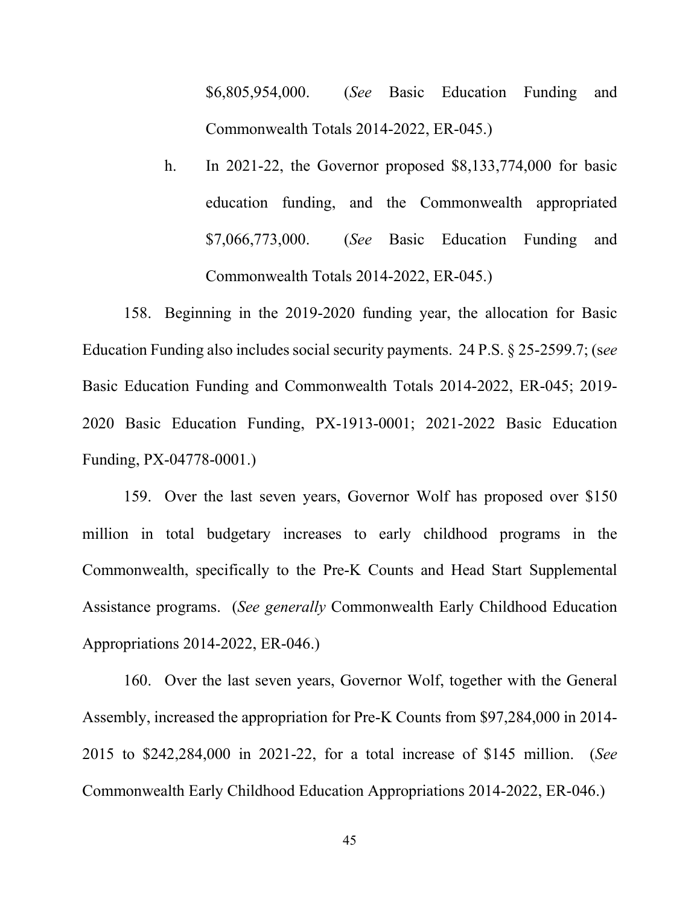\$6,805,954,000. (*See* Basic Education Funding and Commonwealth Totals 2014-2022, ER-045.)

h. In 2021-22, the Governor proposed \$8,133,774,000 for basic education funding, and the Commonwealth appropriated \$7,066,773,000. (*See* Basic Education Funding and Commonwealth Totals 2014-2022, ER-045.)

158. Beginning in the 2019-2020 funding year, the allocation for Basic Education Funding also includes social security payments. 24 P.S. § 25-2599.7; (s*ee* Basic Education Funding and Commonwealth Totals 2014-2022, ER-045; 2019- 2020 Basic Education Funding, PX-1913-0001; 2021-2022 Basic Education Funding, PX-04778-0001.)

159. Over the last seven years, Governor Wolf has proposed over \$150 million in total budgetary increases to early childhood programs in the Commonwealth, specifically to the Pre-K Counts and Head Start Supplemental Assistance programs. (*See generally* Commonwealth Early Childhood Education Appropriations 2014-2022, ER-046.)

160. Over the last seven years, Governor Wolf, together with the General Assembly, increased the appropriation for Pre-K Counts from \$97,284,000 in 2014- 2015 to \$242,284,000 in 2021-22, for a total increase of \$145 million. (*See*  Commonwealth Early Childhood Education Appropriations 2014-2022, ER-046.)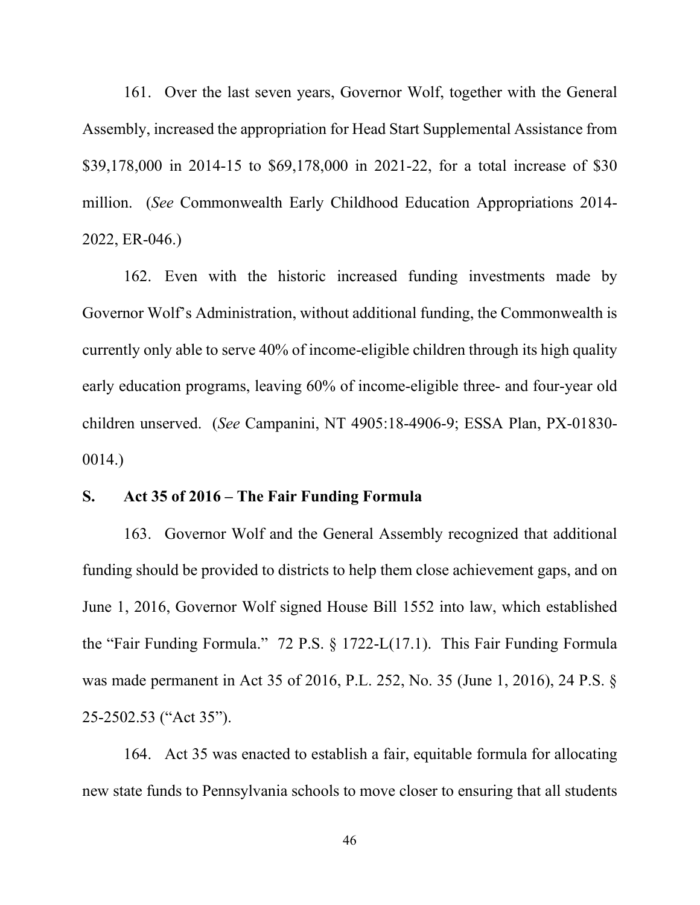161. Over the last seven years, Governor Wolf, together with the General Assembly, increased the appropriation for Head Start Supplemental Assistance from \$39,178,000 in 2014-15 to \$69,178,000 in 2021-22, for a total increase of \$30 million. (*See* Commonwealth Early Childhood Education Appropriations 2014- 2022, ER-046.)

162. Even with the historic increased funding investments made by Governor Wolf's Administration, without additional funding, the Commonwealth is currently only able to serve 40% of income-eligible children through its high quality early education programs, leaving 60% of income-eligible three- and four-year old children unserved. (*See* Campanini, NT 4905:18-4906-9; ESSA Plan, PX-01830- 0014.)

## **S. Act 35 of 2016 – The Fair Funding Formula**

163. Governor Wolf and the General Assembly recognized that additional funding should be provided to districts to help them close achievement gaps, and on June 1, 2016, Governor Wolf signed House Bill 1552 into law, which established the "Fair Funding Formula." 72 P.S. § 1722-L(17.1). This Fair Funding Formula was made permanent in Act 35 of 2016, P.L. 252, No. 35 (June 1, 2016), 24 P.S. § 25-2502.53 ("Act 35").

164. Act 35 was enacted to establish a fair, equitable formula for allocating new state funds to Pennsylvania schools to move closer to ensuring that all students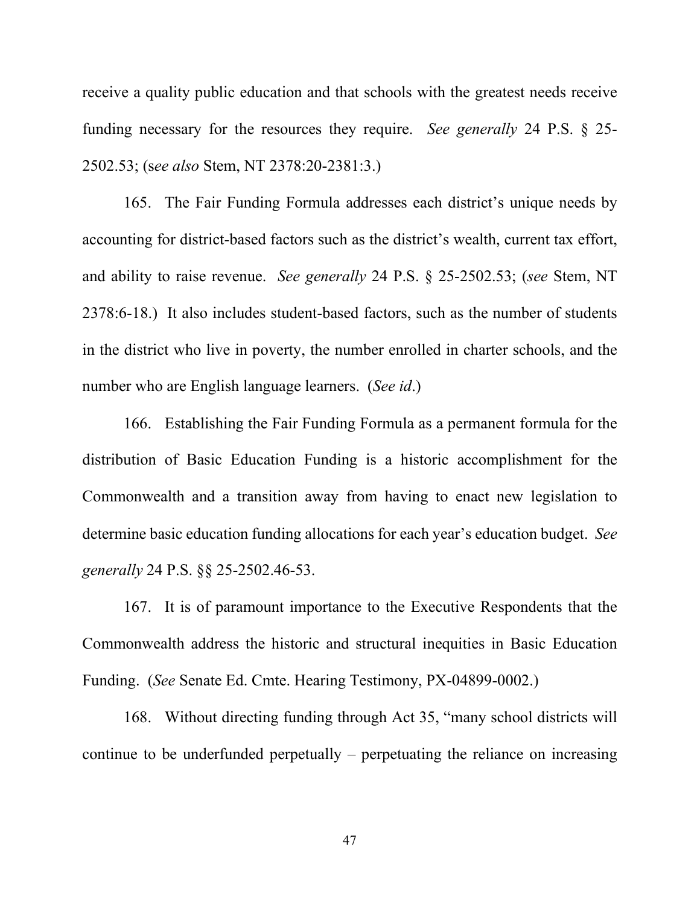receive a quality public education and that schools with the greatest needs receive funding necessary for the resources they require. *See generally* 24 P.S. § 25- 2502.53; (s*ee also* Stem, NT 2378:20-2381:3.)

165. The Fair Funding Formula addresses each district's unique needs by accounting for district-based factors such as the district's wealth, current tax effort, and ability to raise revenue. *See generally* 24 P.S. § 25-2502.53; (*see* Stem, NT 2378:6-18.) It also includes student-based factors, such as the number of students in the district who live in poverty, the number enrolled in charter schools, and the number who are English language learners. (*See id*.)

166. Establishing the Fair Funding Formula as a permanent formula for the distribution of Basic Education Funding is a historic accomplishment for the Commonwealth and a transition away from having to enact new legislation to determine basic education funding allocations for each year's education budget. *See generally* 24 P.S. §§ 25-2502.46-53.

167. It is of paramount importance to the Executive Respondents that the Commonwealth address the historic and structural inequities in Basic Education Funding. (*See* Senate Ed. Cmte. Hearing Testimony, PX-04899-0002.)

168. Without directing funding through Act 35, "many school districts will continue to be underfunded perpetually – perpetuating the reliance on increasing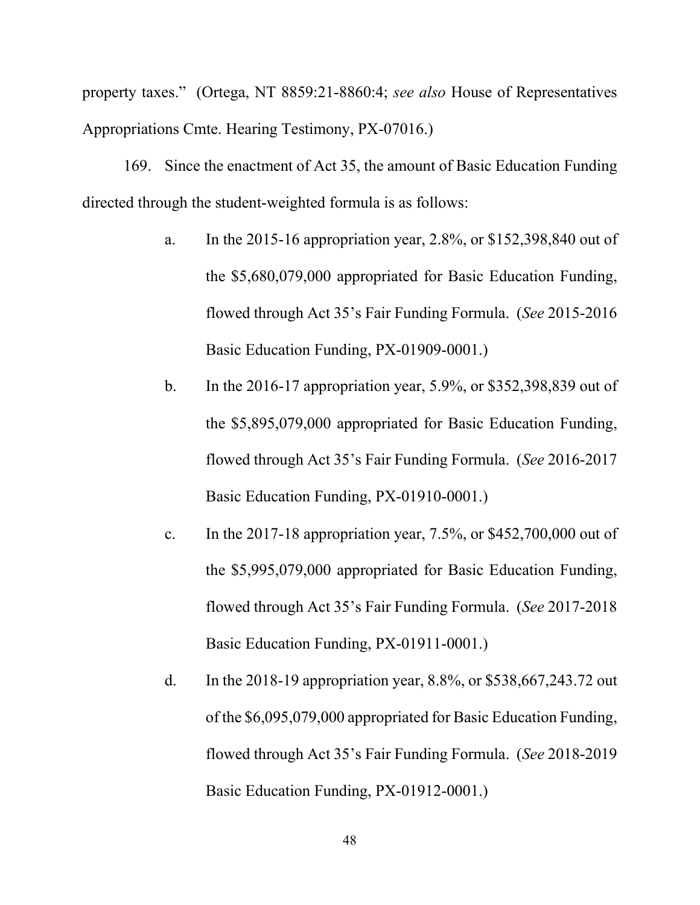property taxes." (Ortega, NT 8859:21-8860:4; *see also* House of Representatives Appropriations Cmte. Hearing Testimony, PX-07016.)

169. Since the enactment of Act 35, the amount of Basic Education Funding directed through the student-weighted formula is as follows:

- a. In the 2015-16 appropriation year, 2.8%, or \$152,398,840 out of the \$5,680,079,000 appropriated for Basic Education Funding, flowed through Act 35's Fair Funding Formula. (*See* 2015-2016 Basic Education Funding, PX-01909-0001.)
- b. In the 2016-17 appropriation year, 5.9%, or \$352,398,839 out of the \$5,895,079,000 appropriated for Basic Education Funding, flowed through Act 35's Fair Funding Formula. (*See* 2016-2017 Basic Education Funding, PX-01910-0001.)
- c. In the 2017-18 appropriation year,  $7.5\%$ , or \$452,700,000 out of the \$5,995,079,000 appropriated for Basic Education Funding, flowed through Act 35's Fair Funding Formula. (*See* 2017-2018 Basic Education Funding, PX-01911-0001.)
- d. In the 2018-19 appropriation year, 8.8%, or \$538,667,243.72 out of the \$6,095,079,000 appropriated for Basic Education Funding, flowed through Act 35's Fair Funding Formula. (*See* 2018-2019 Basic Education Funding, PX-01912-0001.)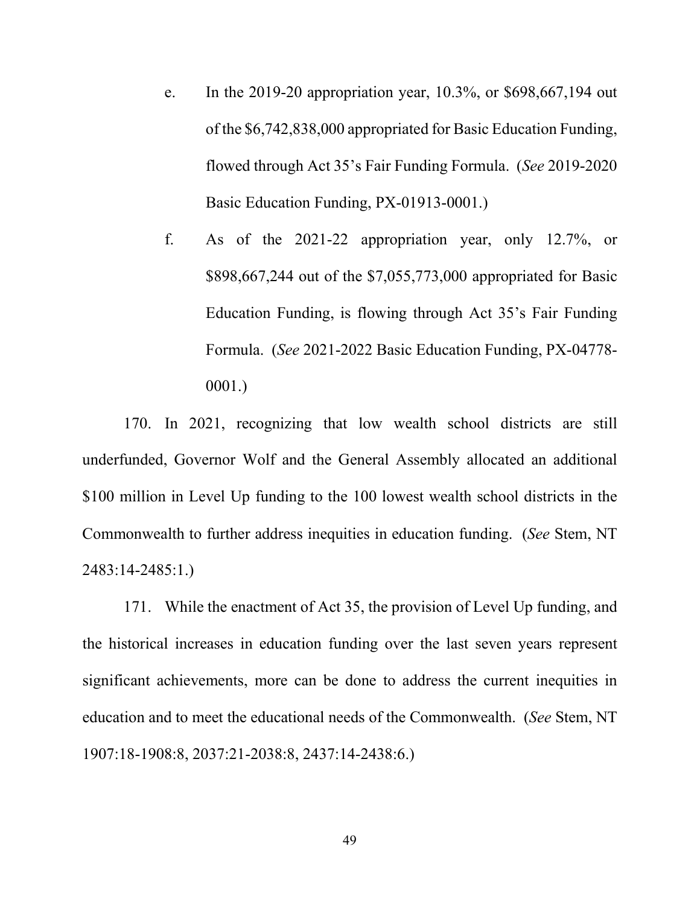- e. In the 2019-20 appropriation year, 10.3%, or \$698,667,194 out of the \$6,742,838,000 appropriated for Basic Education Funding, flowed through Act 35's Fair Funding Formula. (*See* 2019-2020 Basic Education Funding, PX-01913-0001.)
- f. As of the 2021-22 appropriation year, only 12.7%, or \$898,667,244 out of the \$7,055,773,000 appropriated for Basic Education Funding, is flowing through Act 35's Fair Funding Formula. (*See* 2021-2022 Basic Education Funding, PX-04778- 0001.)

170. In 2021, recognizing that low wealth school districts are still underfunded, Governor Wolf and the General Assembly allocated an additional \$100 million in Level Up funding to the 100 lowest wealth school districts in the Commonwealth to further address inequities in education funding. (*See* Stem, NT 2483:14-2485:1.)

171. While the enactment of Act 35, the provision of Level Up funding, and the historical increases in education funding over the last seven years represent significant achievements, more can be done to address the current inequities in education and to meet the educational needs of the Commonwealth. (*See* Stem, NT 1907:18-1908:8, 2037:21-2038:8, 2437:14-2438:6.)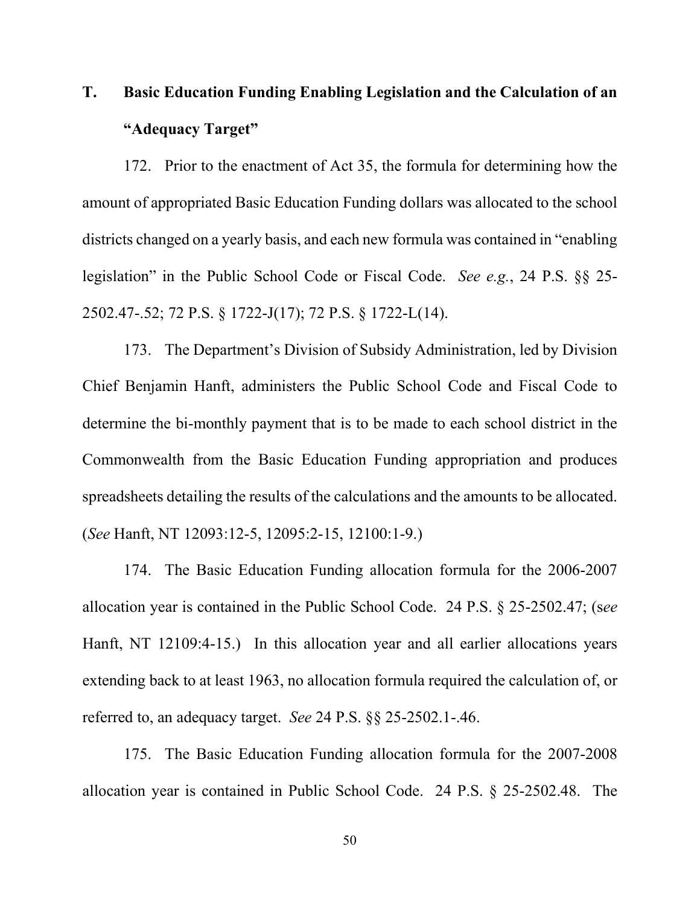# **T. Basic Education Funding Enabling Legislation and the Calculation of an "Adequacy Target"**

172. Prior to the enactment of Act 35, the formula for determining how the amount of appropriated Basic Education Funding dollars was allocated to the school districts changed on a yearly basis, and each new formula was contained in "enabling legislation" in the Public School Code or Fiscal Code. *See e.g.*, 24 P.S. §§ 25- 2502.47-.52; 72 P.S. § 1722-J(17); 72 P.S. § 1722-L(14).

173. The Department's Division of Subsidy Administration, led by Division Chief Benjamin Hanft, administers the Public School Code and Fiscal Code to determine the bi-monthly payment that is to be made to each school district in the Commonwealth from the Basic Education Funding appropriation and produces spreadsheets detailing the results of the calculations and the amounts to be allocated. (*See* Hanft, NT 12093:12-5, 12095:2-15, 12100:1-9.)

174. The Basic Education Funding allocation formula for the 2006-2007 allocation year is contained in the Public School Code. 24 P.S. § 25-2502.47; (s*ee* Hanft, NT 12109:4-15.) In this allocation year and all earlier allocations years extending back to at least 1963, no allocation formula required the calculation of, or referred to, an adequacy target. *See* 24 P.S. §§ 25-2502.1-.46.

175. The Basic Education Funding allocation formula for the 2007-2008 allocation year is contained in Public School Code. 24 P.S. § 25-2502.48. The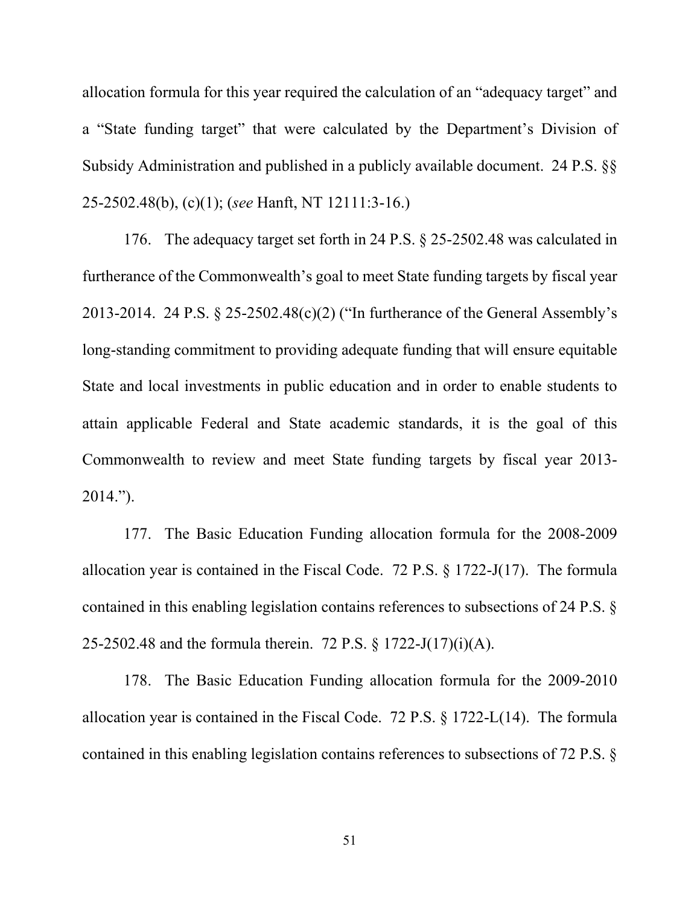allocation formula for this year required the calculation of an "adequacy target" and a "State funding target" that were calculated by the Department's Division of Subsidy Administration and published in a publicly available document. 24 P.S. §§ 25-2502.48(b), (c)(1); (*see* Hanft, NT 12111:3-16.)

176. The adequacy target set forth in 24 P.S. § 25-2502.48 was calculated in furtherance of the Commonwealth's goal to meet State funding targets by fiscal year 2013-2014. 24 P.S. § 25-2502.48(c)(2) ("In furtherance of the General Assembly's long-standing commitment to providing adequate funding that will ensure equitable State and local investments in public education and in order to enable students to attain applicable Federal and State academic standards, it is the goal of this Commonwealth to review and meet State funding targets by fiscal year 2013- 2014.").

177. The Basic Education Funding allocation formula for the 2008-2009 allocation year is contained in the Fiscal Code. 72 P.S. § 1722-J(17). The formula contained in this enabling legislation contains references to subsections of 24 P.S. § 25-2502.48 and the formula therein. 72 P.S. § 1722-J(17)(i)(A).

178. The Basic Education Funding allocation formula for the 2009-2010 allocation year is contained in the Fiscal Code. 72 P.S. § 1722-L(14). The formula contained in this enabling legislation contains references to subsections of 72 P.S. §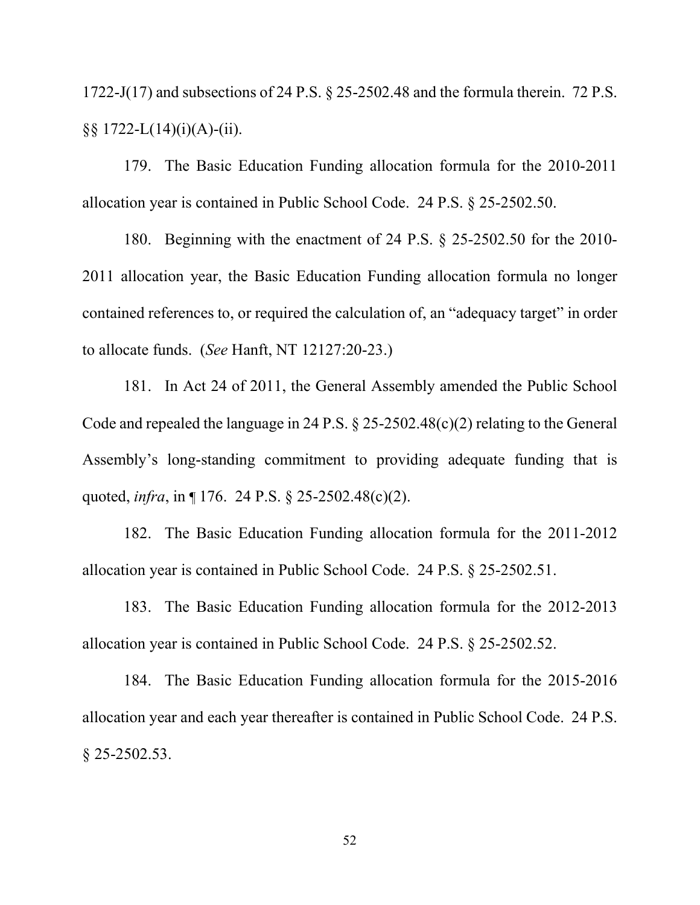1722-J(17) and subsections of 24 P.S. § 25-2502.48 and the formula therein. 72 P.S. §§ 1722-L(14)(i)(A)-(ii).

179. The Basic Education Funding allocation formula for the 2010-2011 allocation year is contained in Public School Code. 24 P.S. § 25-2502.50.

180. Beginning with the enactment of 24 P.S. § 25-2502.50 for the 2010- 2011 allocation year, the Basic Education Funding allocation formula no longer contained references to, or required the calculation of, an "adequacy target" in order to allocate funds. (*See* Hanft, NT 12127:20-23.)

181. In Act 24 of 2011, the General Assembly amended the Public School Code and repealed the language in 24 P.S. § 25-2502.48(c)(2) relating to the General Assembly's long-standing commitment to providing adequate funding that is quoted, *infra*, in ¶ 176. 24 P.S. § 25-2502.48(c)(2).

182. The Basic Education Funding allocation formula for the 2011-2012 allocation year is contained in Public School Code. 24 P.S. § 25-2502.51.

183. The Basic Education Funding allocation formula for the 2012-2013 allocation year is contained in Public School Code. 24 P.S. § 25-2502.52.

184. The Basic Education Funding allocation formula for the 2015-2016 allocation year and each year thereafter is contained in Public School Code. 24 P.S. § 25-2502.53.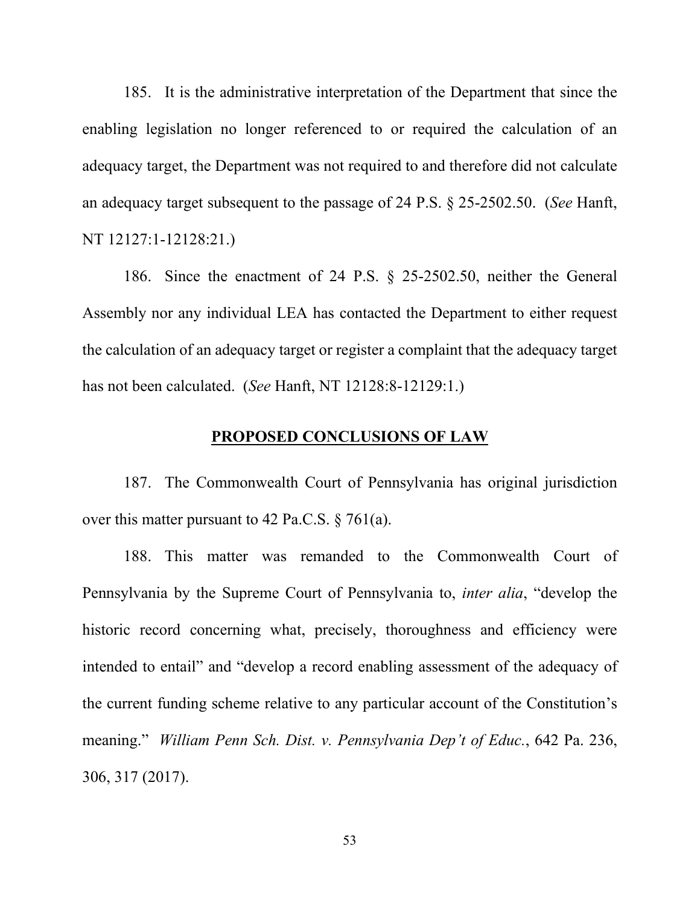185. It is the administrative interpretation of the Department that since the enabling legislation no longer referenced to or required the calculation of an adequacy target, the Department was not required to and therefore did not calculate an adequacy target subsequent to the passage of 24 P.S. § 25-2502.50. (*See* Hanft, NT 12127:1-12128:21.)

186. Since the enactment of 24 P.S. § 25-2502.50, neither the General Assembly nor any individual LEA has contacted the Department to either request the calculation of an adequacy target or register a complaint that the adequacy target has not been calculated. (*See* Hanft, NT 12128:8-12129:1.)

# **PROPOSED CONCLUSIONS OF LAW**

187. The Commonwealth Court of Pennsylvania has original jurisdiction over this matter pursuant to 42 Pa.C.S.  $\S$  761(a).

188. This matter was remanded to the Commonwealth Court of Pennsylvania by the Supreme Court of Pennsylvania to, *inter alia*, "develop the historic record concerning what, precisely, thoroughness and efficiency were intended to entail" and "develop a record enabling assessment of the adequacy of the current funding scheme relative to any particular account of the Constitution's meaning." *William Penn Sch. Dist. v. Pennsylvania Dep't of Educ.*, 642 Pa. 236, 306, 317 (2017).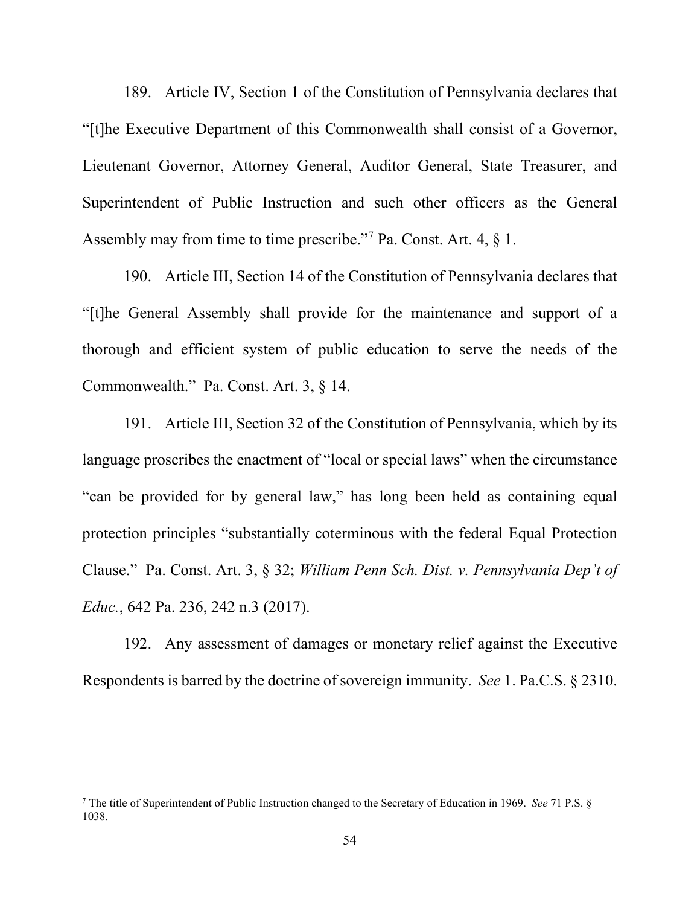189. Article IV, Section 1 of the Constitution of Pennsylvania declares that "[t]he Executive Department of this Commonwealth shall consist of a Governor, Lieutenant Governor, Attorney General, Auditor General, State Treasurer, and Superintendent of Public Instruction and such other officers as the General Assembly may from time to time prescribe."<sup>[7](#page-53-0)</sup> Pa. Const. Art.  $4, \, \S$  1.

190. Article III, Section 14 of the Constitution of Pennsylvania declares that "[t]he General Assembly shall provide for the maintenance and support of a thorough and efficient system of public education to serve the needs of the Commonwealth." Pa. Const. Art. 3, § 14.

191. Article III, Section 32 of the Constitution of Pennsylvania, which by its language proscribes the enactment of "local or special laws" when the circumstance "can be provided for by general law," has long been held as containing equal protection principles "substantially coterminous with the federal Equal Protection Clause." Pa. Const. Art. 3, § 32; *William Penn Sch. Dist. v. Pennsylvania Dep't of Educ.*, 642 Pa. 236, 242 n.3 (2017).

192. Any assessment of damages or monetary relief against the Executive Respondents is barred by the doctrine of sovereign immunity. *See* 1. Pa.C.S. § 2310.

<span id="page-53-0"></span><sup>7</sup> The title of Superintendent of Public Instruction changed to the Secretary of Education in 1969. *See* 71 P.S. § 1038.